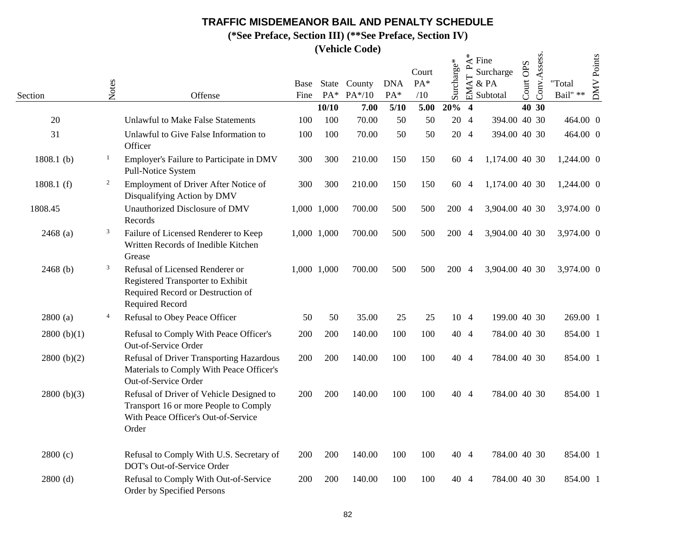**(\*See Preface, Section III) (\*\*See Preface, Section IV)**

|               |                |                                                                                                                                     |      |             | <i>(venicle Code)</i> |            |              |            |                         |                                                  |           |              |                  |                   |
|---------------|----------------|-------------------------------------------------------------------------------------------------------------------------------------|------|-------------|-----------------------|------------|--------------|------------|-------------------------|--------------------------------------------------|-----------|--------------|------------------|-------------------|
|               |                |                                                                                                                                     | Base |             | State County          | <b>DNA</b> | Court<br>PA* | Surcharge* | $\mathbf{r}$<br>EMAT    | $\stackrel{*}{\preceq}$ Fine<br>Surcharge<br>&PA | Court OPS | Conv.Assess. | "Total           | <b>DMV</b> Points |
| Section       | Notes          | Offense                                                                                                                             | Fine | $PA*$       | PA*/10                | PA*        | /10          |            |                         | Subtotal                                         |           |              | Bail" $\ast\ast$ |                   |
|               |                |                                                                                                                                     |      | 10/10       | 7.00                  | 5/10       | 5.00         | 20%        | $\overline{\mathbf{4}}$ |                                                  |           | 40 30        |                  |                   |
| 20            |                | <b>Unlawful to Make False Statements</b>                                                                                            | 100  | 100         | 70.00                 | 50         | 50           | 20 4       |                         | 394.00 40 30                                     |           |              | 464.00 0         |                   |
| 31            |                | Unlawful to Give False Information to<br>Officer                                                                                    | 100  | 100         | 70.00                 | 50         | 50           | 20 4       |                         | 394.00 40 30                                     |           |              | 464.00 0         |                   |
| 1808.1 $(b)$  | $\mathbf{1}$   | Employer's Failure to Participate in DMV<br>Pull-Notice System                                                                      | 300  | 300         | 210.00                | 150        | 150          | 60 4       |                         | 1,174.00 40 30                                   |           |              | 1,244.00 0       |                   |
| 1808.1 $(f)$  | $\overline{2}$ | Employment of Driver After Notice of<br>Disqualifying Action by DMV                                                                 | 300  | 300         | 210.00                | 150        | 150          | 60 4       |                         | 1,174.00 40 30                                   |           |              | 1,244.00 0       |                   |
| 1808.45       |                | Unauthorized Disclosure of DMV<br>Records                                                                                           |      | 1,000 1,000 | 700.00                | 500        | 500          | 200 4      |                         | 3,904.00 40 30                                   |           |              | 3,974.00 0       |                   |
| $2468$ (a)    | 3              | Failure of Licensed Renderer to Keep<br>Written Records of Inedible Kitchen<br>Grease                                               |      | 1,000 1,000 | 700.00                | 500        | 500          | 200 4      |                         | 3,904.00 40 30                                   |           |              | 3,974.00 0       |                   |
| $2468$ (b)    | 3              | Refusal of Licensed Renderer or<br>Registered Transporter to Exhibit<br>Required Record or Destruction of<br><b>Required Record</b> |      | 1,000 1,000 | 700.00                | 500        | 500          | 200 4      |                         | 3,904.00 40 30                                   |           |              | 3,974.00 0       |                   |
| 2800(a)       | $\overline{4}$ | Refusal to Obey Peace Officer                                                                                                       | 50   | 50          | 35.00                 | 25         | 25           | 10 4       |                         | 199.00 40 30                                     |           |              | 269.00 1         |                   |
| 2800 $(b)(1)$ |                | Refusal to Comply With Peace Officer's<br>Out-of-Service Order                                                                      | 200  | 200         | 140.00                | 100        | 100          | 40 4       |                         | 784.00 40 30                                     |           |              | 854.00 1         |                   |
| 2800 (b)(2)   |                | Refusal of Driver Transporting Hazardous<br>Materials to Comply With Peace Officer's<br>Out-of-Service Order                        | 200  | 200         | 140.00                | 100        | 100          | 40 4       |                         | 784.00 40 30                                     |           |              | 854.00 1         |                   |
| 2800 (b)(3)   |                | Refusal of Driver of Vehicle Designed to<br>Transport 16 or more People to Comply<br>With Peace Officer's Out-of-Service<br>Order   | 200  | 200         | 140.00                | 100        | 100          | 40 4       |                         | 784.00 40 30                                     |           |              | 854.00 1         |                   |
| 2800(c)       |                | Refusal to Comply With U.S. Secretary of<br>DOT's Out-of-Service Order                                                              | 200  | 200         | 140.00                | 100        | 100          | 40 4       |                         | 784.00 40 30                                     |           |              | 854.00 1         |                   |
| $2800$ (d)    |                | Refusal to Comply With Out-of-Service<br>Order by Specified Persons                                                                 | 200  | 200         | 140.00                | 100        | 100          | 40 4       |                         | 784.00 40 30                                     |           |              | 854.00 1         |                   |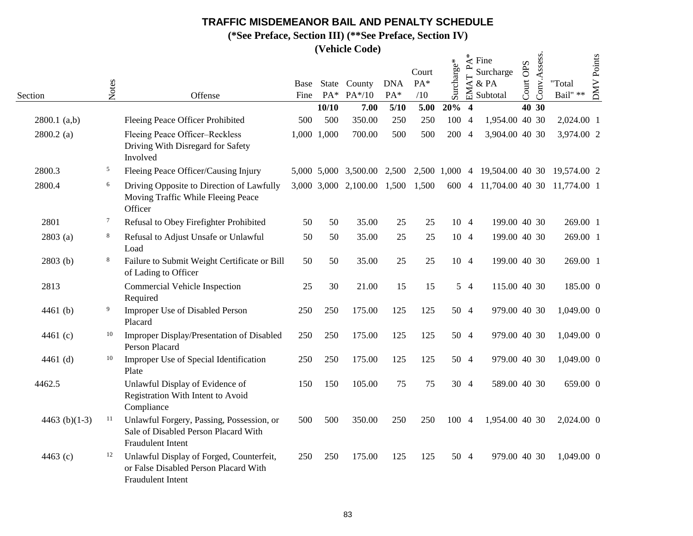**(\*See Preface, Section III) (\*\*See Preface, Section IV)**

|                 |        |                                                                                                               |              |             | $($ v chilic Couc)               |                   |                     |            |                                        |                                       |                     |              |                                           |                   |
|-----------------|--------|---------------------------------------------------------------------------------------------------------------|--------------|-------------|----------------------------------|-------------------|---------------------|------------|----------------------------------------|---------------------------------------|---------------------|--------------|-------------------------------------------|-------------------|
| Section         | Notes  | Offense                                                                                                       | Base<br>Fine | $PA*$       | State County<br>$PA*/10$         | <b>DNA</b><br>PA* | Court<br>PA*<br>/10 | Surcharge* | $\mathbf{A}^*$<br>$\mathbf{p}$<br>EMAT | Fine<br>Surcharge<br>& PA<br>Subtotal | <b>OPS</b><br>Court | Conv.Assess. | "Total<br>Bail" $\ast\ast$                | <b>DMV</b> Points |
|                 |        |                                                                                                               |              | 10/10       | 7.00                             | 5/10              | 5.00                | 20%        | $\overline{\mathbf{4}}$                |                                       | 40 30               |              |                                           |                   |
| $2800.1$ (a,b)  |        | Fleeing Peace Officer Prohibited                                                                              | 500          | 500         | 350.00                           | 250               | 250                 | 100 4      |                                        | 1,954.00 40 30                        |                     |              | 2,024.00 1                                |                   |
| $2800.2$ (a)    |        | Fleeing Peace Officer-Reckless<br>Driving With Disregard for Safety<br>Involved                               |              | 1,000 1,000 | 700.00                           | 500               | 500                 | 200 4      |                                        | 3,904.00 40 30                        |                     |              | 3,974.00 2                                |                   |
| 2800.3          | 5      | Fleeing Peace Officer/Causing Injury                                                                          |              |             | 5,000 5,000 3,500.00             | 2,500             |                     |            |                                        |                                       |                     |              | 2,500 1,000 4 19,504.00 40 30 19,574.00 2 |                   |
| 2800.4          | 6      | Driving Opposite to Direction of Lawfully<br>Moving Traffic While Fleeing Peace<br>Officer                    |              |             | 3,000 3,000 2,100.00 1,500 1,500 |                   |                     |            |                                        |                                       |                     |              | 600 4 11,704.00 40 30 11,774.00 1         |                   |
| 2801            | $\tau$ | Refusal to Obey Firefighter Prohibited                                                                        | 50           | 50          | 35.00                            | 25                | 25                  | 10 4       |                                        | 199.00 40 30                          |                     |              | 269.00 1                                  |                   |
| 2803(a)         | 8      | Refusal to Adjust Unsafe or Unlawful<br>Load                                                                  | 50           | 50          | 35.00                            | 25                | 25                  | 10 4       |                                        | 199.00 40 30                          |                     |              | 269.00 1                                  |                   |
| 2803(b)         | 8      | Failure to Submit Weight Certificate or Bill<br>of Lading to Officer                                          | 50           | 50          | 35.00                            | 25                | 25                  | 10 4       |                                        | 199.00 40 30                          |                     |              | 269.00 1                                  |                   |
| 2813            |        | Commercial Vehicle Inspection<br>Required                                                                     | 25           | 30          | 21.00                            | 15                | 15                  |            | 54                                     | 115.00 40 30                          |                     |              | 185.00 0                                  |                   |
| 4461 $(b)$      | 9      | Improper Use of Disabled Person<br>Placard                                                                    | 250          | 250         | 175.00                           | 125               | 125                 | 50 4       |                                        | 979.00 40 30                          |                     |              | 1,049.00 0                                |                   |
| 4461 (c)        | 10     | Improper Display/Presentation of Disabled<br>Person Placard                                                   | 250          | 250         | 175.00                           | 125               | 125                 | 50 4       |                                        | 979.00 40 30                          |                     |              | 1,049.00 0                                |                   |
| 4461 (d)        | 10     | Improper Use of Special Identification<br>Plate                                                               | 250          | 250         | 175.00                           | 125               | 125                 | 50 4       |                                        | 979.00 40 30                          |                     |              | 1,049.00 0                                |                   |
| 4462.5          |        | Unlawful Display of Evidence of<br>Registration With Intent to Avoid<br>Compliance                            | 150          | 150         | 105.00                           | 75                | 75                  | 30 4       |                                        | 589.00 40 30                          |                     |              | 659.00 0                                  |                   |
| 4463 $(b)(1-3)$ | 11     | Unlawful Forgery, Passing, Possession, or<br>Sale of Disabled Person Placard With<br>Fraudulent Intent        | 500          | 500         | 350.00                           | 250               | 250                 | 100 4      |                                        | 1,954.00 40 30                        |                     |              | 2,024.00 0                                |                   |
| 4463 (c)        | 12     | Unlawful Display of Forged, Counterfeit,<br>or False Disabled Person Placard With<br><b>Fraudulent Intent</b> | 250          | 250         | 175.00                           | 125               | 125                 | 50 4       |                                        | 979.00 40 30                          |                     |              | 1,049.00 0                                |                   |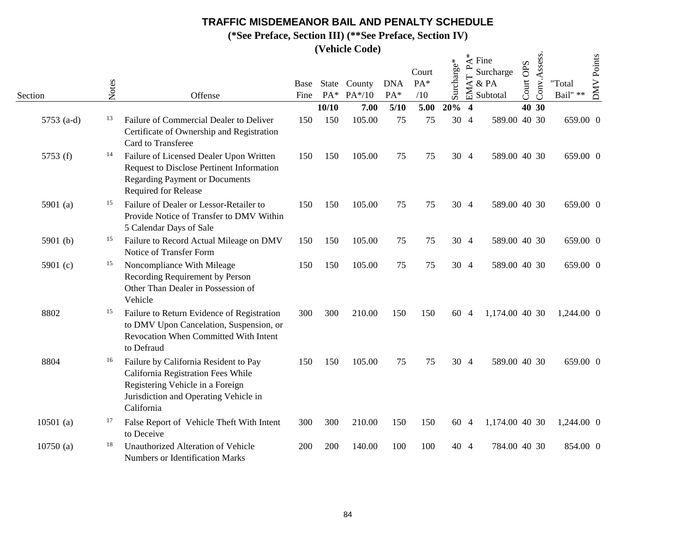**(\*See Preface, Section III) (\*\*See Preface, Section IV)**

|              |       |                                                                                                                                                                        |              |       | (venicle Coue)           |                     |                       |            |                                                |                                                               |                                  |              |                            |            |
|--------------|-------|------------------------------------------------------------------------------------------------------------------------------------------------------------------------|--------------|-------|--------------------------|---------------------|-----------------------|------------|------------------------------------------------|---------------------------------------------------------------|----------------------------------|--------------|----------------------------|------------|
| Section      | Notes | Offense                                                                                                                                                                | Base<br>Fine | $PA*$ | State County<br>$PA*/10$ | <b>DNA</b><br>$PA*$ | Court<br>$PA*$<br>/10 | Surcharge* | $\mathbf{r}$<br>A <sub>T</sub><br>$\mathbb{E}$ | $\stackrel{*}{\preceq}$ Fine<br>Surcharge<br>& PA<br>Subtotal | <b>OPS</b><br>Court <sup>1</sup> | Conv.Assess. | "Total<br>Bail" $\ast\ast$ | DMV Points |
|              |       |                                                                                                                                                                        |              | 10/10 | 7.00                     | 5/10                | 5.00                  | $20\%$ 4   |                                                |                                                               |                                  | 40 30        |                            |            |
| 5753 $(a-d)$ | 13    | Failure of Commercial Dealer to Deliver<br>Certificate of Ownership and Registration<br>Card to Transferee                                                             | 150          | 150   | 105.00                   | 75                  | 75                    |            | 30 4                                           | 589.00 40 30                                                  |                                  |              | 659.00 0                   |            |
| 5753 (f)     | 14    | Failure of Licensed Dealer Upon Written<br>Request to Disclose Pertinent Information<br><b>Regarding Payment or Documents</b><br>Required for Release                  | 150          | 150   | 105.00                   | 75                  | 75                    |            | 30 4                                           | 589.00 40 30                                                  |                                  |              | 659.00 0                   |            |
| 5901 (a)     | 15    | Failure of Dealer or Lessor-Retailer to<br>Provide Notice of Transfer to DMV Within<br>5 Calendar Days of Sale                                                         | 150          | 150   | 105.00                   | 75                  | 75                    |            | 30 4                                           | 589.00 40 30                                                  |                                  |              | 659.00 0                   |            |
| 5901 $(b)$   | 15    | Failure to Record Actual Mileage on DMV<br>Notice of Transfer Form                                                                                                     | 150          | 150   | 105.00                   | 75                  | 75                    |            | 30 4                                           | 589.00 40 30                                                  |                                  |              | 659.00 0                   |            |
| 5901 (c)     | 15    | Noncompliance With Mileage<br>Recording Requirement by Person<br>Other Than Dealer in Possession of<br>Vehicle                                                         | 150          | 150   | 105.00                   | 75                  | 75                    |            | 30 4                                           | 589.00 40 30                                                  |                                  |              | 659.00 0                   |            |
| 8802         | 15    | Failure to Return Evidence of Registration<br>to DMV Upon Cancelation, Suspension, or<br>Revocation When Committed With Intent<br>to Defraud                           | 300          | 300   | 210.00                   | 150                 | 150                   |            | 60 4                                           | 1,174.00 40 30                                                |                                  |              | 1,244.00 0                 |            |
| 8804         | 16    | Failure by California Resident to Pay<br>California Registration Fees While<br>Registering Vehicle in a Foreign<br>Jurisdiction and Operating Vehicle in<br>California | 150          | 150   | 105.00                   | 75                  | 75                    |            | 30 4                                           | 589.00 40 30                                                  |                                  |              | 659.00 0                   |            |
| $10501$ (a)  | 17    | False Report of Vehicle Theft With Intent<br>to Deceive                                                                                                                | 300          | 300   | 210.00                   | 150                 | 150                   |            | 60 4                                           | 1,174.00 40 30                                                |                                  |              | 1,244.00 0                 |            |
| 10750(a)     | 18    | Unauthorized Alteration of Vehicle<br>Numbers or Identification Marks                                                                                                  | 200          | 200   | 140.00                   | 100                 | 100                   |            | 40 4                                           | 784.00 40 30                                                  |                                  |              | 854.00 0                   |            |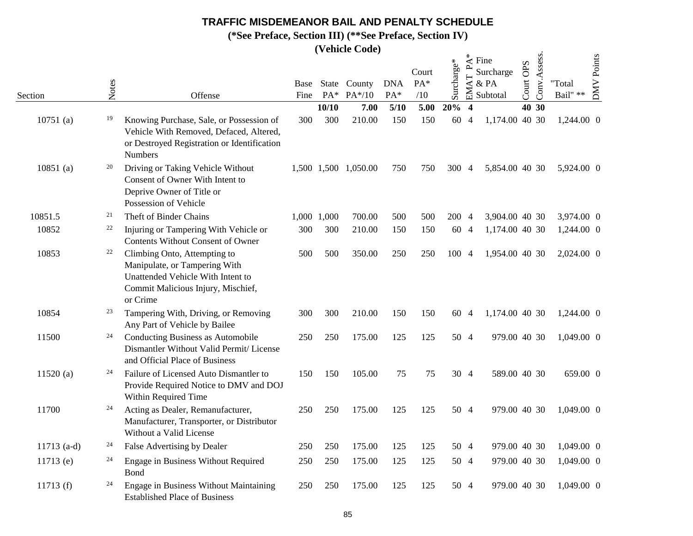**(\*See Preface, Section III) (\*\*See Preface, Section IV)**

|               |       |                                                                                                                                                      |              |       | $($ v chilic Couc)   |                   |                     |            |                                     |                                                               |                     |              |                    |            |
|---------------|-------|------------------------------------------------------------------------------------------------------------------------------------------------------|--------------|-------|----------------------|-------------------|---------------------|------------|-------------------------------------|---------------------------------------------------------------|---------------------|--------------|--------------------|------------|
| Section       | Notes | Offense                                                                                                                                              | Base<br>Fine | State | County<br>PA* PA*/10 | <b>DNA</b><br>PA* | Court<br>PA*<br>/10 | Surcharge* | $\mathbf{r}$<br>$\mathsf{AT}$<br>EM | $\stackrel{*}{\preceq}$ Fine<br>Surcharge<br>& PA<br>Subtotal | <b>OPS</b><br>Court | Conv.Assess. | "Total<br>Bail" ** | DMV Points |
|               |       |                                                                                                                                                      |              | 10/10 | 7.00                 | 5/10              | 5.00                | 20%        | $\overline{\mathbf{4}}$             |                                                               |                     | 40 30        |                    |            |
| $10751$ (a)   | 19    | Knowing Purchase, Sale, or Possession of<br>Vehicle With Removed, Defaced, Altered,<br>or Destroyed Registration or Identification<br>Numbers        | 300          | 300   | 210.00               | 150               | 150                 | 60 4       |                                     | 1,174.00 40 30                                                |                     |              | 1,244.00 0         |            |
| $10851$ (a)   | 20    | Driving or Taking Vehicle Without<br>Consent of Owner With Intent to<br>Deprive Owner of Title or<br>Possession of Vehicle                           |              |       | 1,500 1,500 1,050.00 | 750               | 750                 | 300 4      |                                     | 5,854.00 40 30                                                |                     |              | 5,924.00 0         |            |
| 10851.5       | 21    | Theft of Binder Chains                                                                                                                               | 1,000        | 1,000 | 700.00               | 500               | 500                 | 200 4      |                                     | 3,904.00 40 30                                                |                     |              | 3,974.00 0         |            |
| 10852         | 22    | Injuring or Tampering With Vehicle or<br><b>Contents Without Consent of Owner</b>                                                                    | 300          | 300   | 210.00               | 150               | 150                 | 60 4       |                                     | 1,174.00 40 30                                                |                     |              | 1,244.00 0         |            |
| 10853         | 22    | Climbing Onto, Attempting to<br>Manipulate, or Tampering With<br>Unattended Vehicle With Intent to<br>Commit Malicious Injury, Mischief,<br>or Crime | 500          | 500   | 350.00               | 250               | 250                 | 100 4      |                                     | 1,954.00 40 30                                                |                     |              | 2,024.00 0         |            |
| 10854         | 23    | Tampering With, Driving, or Removing<br>Any Part of Vehicle by Bailee                                                                                | 300          | 300   | 210.00               | 150               | 150                 | 60 4       |                                     | 1,174.00 40 30                                                |                     |              | 1,244.00 0         |            |
| 11500         | 24    | <b>Conducting Business as Automobile</b><br>Dismantler Without Valid Permit/ License<br>and Official Place of Business                               | 250          | 250   | 175.00               | 125               | 125                 |            | 50 4                                | 979.00 40 30                                                  |                     |              | 1,049.00 0         |            |
| 11520(a)      | 24    | Failure of Licensed Auto Dismantler to<br>Provide Required Notice to DMV and DOJ<br>Within Required Time                                             | 150          | 150   | 105.00               | 75                | 75                  |            | 30 4                                | 589.00 40 30                                                  |                     |              | 659.00 0           |            |
| 11700         | 24    | Acting as Dealer, Remanufacturer,<br>Manufacturer, Transporter, or Distributor<br>Without a Valid License                                            | 250          | 250   | 175.00               | 125               | 125                 | 50 4       |                                     | 979.00 40 30                                                  |                     |              | 1,049.00 0         |            |
| $11713$ (a-d) | 24    | False Advertising by Dealer                                                                                                                          | 250          | 250   | 175.00               | 125               | 125                 |            | 50 4                                | 979.00 40 30                                                  |                     |              | 1,049.00 0         |            |
| $11713$ (e)   | 24    | Engage in Business Without Required<br>Bond                                                                                                          | 250          | 250   | 175.00               | 125               | 125                 | 50 4       |                                     | 979.00 40 30                                                  |                     |              | 1,049.00 0         |            |
| 11713 $(f)$   | 24    | Engage in Business Without Maintaining<br><b>Established Place of Business</b>                                                                       | 250          | 250   | 175.00               | 125               | 125                 | 50 4       |                                     | 979.00 40 30                                                  |                     |              | 1,049.00 0         |            |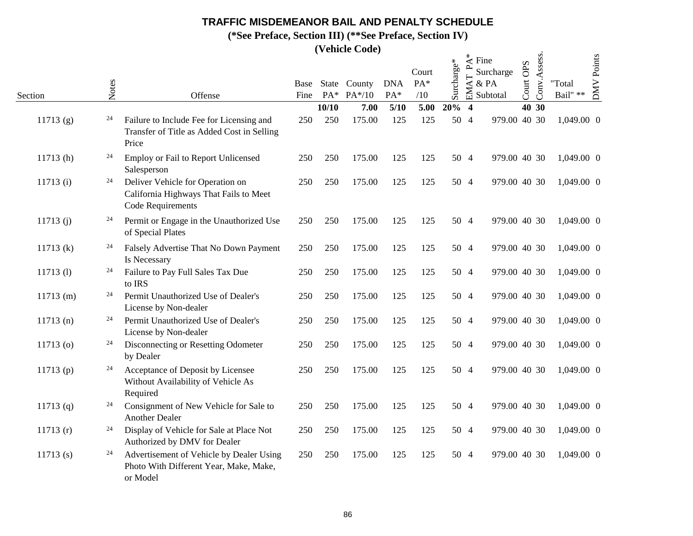**(\*See Preface, Section III) (\*\*See Preface, Section IV)**

|             |       |                                                                                                 |      |       | (venicle Coue)              |                   |                     |            |                                  |                                                                 |                                 |              |                            |                   |
|-------------|-------|-------------------------------------------------------------------------------------------------|------|-------|-----------------------------|-------------------|---------------------|------------|----------------------------------|-----------------------------------------------------------------|---------------------------------|--------------|----------------------------|-------------------|
| Section     | Notes | Offense                                                                                         | Fine | $PA*$ | Base State County<br>PA*/10 | <b>DNA</b><br>PA* | Court<br>PA*<br>/10 | Surcharge* | $\overline{\phantom{0}}$<br>EMAT | $\stackrel{*}{\preceq}$ Fine<br>Surcharge<br>$&$ PA<br>Subtotal | <b>OPS</b><br>Court <sup></sup> | Conv.Assess. | "Total<br>Bail" $\ast\ast$ | <b>DMV</b> Points |
|             |       |                                                                                                 |      | 10/10 | 7.00                        | $5/10$            | 5.00                | 20%        | $\overline{\mathbf{4}}$          |                                                                 |                                 | 40 30        |                            |                   |
| 11713(g)    | 24    | Failure to Include Fee for Licensing and<br>Transfer of Title as Added Cost in Selling<br>Price | 250  | 250   | 175.00                      | 125               | 125                 | 50 4       |                                  | 979.00 40 30                                                    |                                 |              | 1,049.00 0                 |                   |
| 11713(h)    | 24    | Employ or Fail to Report Unlicensed<br>Salesperson                                              | 250  | 250   | 175.00                      | 125               | 125                 | 50 4       |                                  | 979.00 40 30                                                    |                                 |              | 1,049.00 0                 |                   |
| 11713(i)    | 24    | Deliver Vehicle for Operation on<br>California Highways That Fails to Meet<br>Code Requirements | 250  | 250   | 175.00                      | 125               | 125                 | 50 4       |                                  | 979.00 40 30                                                    |                                 |              | 1,049.00 0                 |                   |
| 11713(j)    | 24    | Permit or Engage in the Unauthorized Use<br>of Special Plates                                   | 250  | 250   | 175.00                      | 125               | 125                 | 50 4       |                                  | 979.00 40 30                                                    |                                 |              | 1,049.00 0                 |                   |
| 11713 (k)   | 24    | Falsely Advertise That No Down Payment<br>Is Necessary                                          | 250  | 250   | 175.00                      | 125               | 125                 | 50 4       |                                  | 979.00 40 30                                                    |                                 |              | 1,049.00 0                 |                   |
| $11713$ (1) | 24    | Failure to Pay Full Sales Tax Due<br>to IRS                                                     | 250  | 250   | 175.00                      | 125               | 125                 | 50 4       |                                  | 979.00 40 30                                                    |                                 |              | 1,049.00 0                 |                   |
| $11713$ (m) | 24    | Permit Unauthorized Use of Dealer's<br>License by Non-dealer                                    | 250  | 250   | 175.00                      | 125               | 125                 | 50 4       |                                  | 979.00 40 30                                                    |                                 |              | 1,049.00 0                 |                   |
| 11713(n)    | 24    | Permit Unauthorized Use of Dealer's<br>License by Non-dealer                                    | 250  | 250   | 175.00                      | 125               | 125                 | 50 4       |                                  | 979.00 40 30                                                    |                                 |              | 1,049.00 0                 |                   |
| $11713$ (o) | 24    | Disconnecting or Resetting Odometer<br>by Dealer                                                | 250  | 250   | 175.00                      | 125               | 125                 | 50 4       |                                  | 979.00 40 30                                                    |                                 |              | 1,049.00 0                 |                   |
| 11713 $(p)$ | 24    | Acceptance of Deposit by Licensee<br>Without Availability of Vehicle As<br>Required             | 250  | 250   | 175.00                      | 125               | 125                 | 50 4       |                                  | 979.00 40 30                                                    |                                 |              | 1,049.00 0                 |                   |
| 11713 $(q)$ | 24    | Consignment of New Vehicle for Sale to<br><b>Another Dealer</b>                                 | 250  | 250   | 175.00                      | 125               | 125                 | 50 4       |                                  | 979.00 40 30                                                    |                                 |              | 1,049.00 0                 |                   |
| 11713(r)    | 24    | Display of Vehicle for Sale at Place Not<br>Authorized by DMV for Dealer                        | 250  | 250   | 175.00                      | 125               | 125                 | 50 4       |                                  | 979.00 40 30                                                    |                                 |              | 1,049.00 0                 |                   |
| $11713$ (s) | 24    | Advertisement of Vehicle by Dealer Using<br>Photo With Different Year, Make, Make,<br>or Model  | 250  | 250   | 175.00                      | 125               | 125                 | 50 4       |                                  | 979.00 40 30                                                    |                                 |              | 1,049.00 0                 |                   |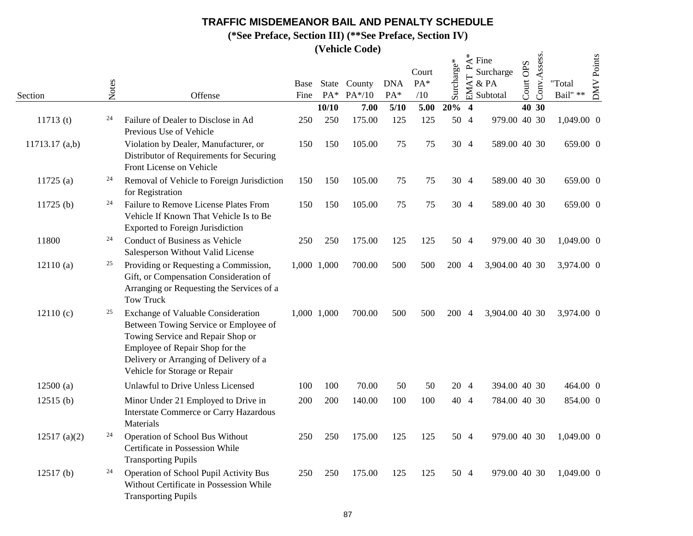**(\*See Preface, Section III) (\*\*See Preface, Section IV)**

|                  |       |                                                                                                                                                                                                                                       |      |             |          |            | Court | Surcharge* | $\star$<br>⋖<br>$\overline{\phantom{a}}$ | Fine<br>Surcharge | Court OPS | Conv.Assess. |            | <b>DMV</b> Points |
|------------------|-------|---------------------------------------------------------------------------------------------------------------------------------------------------------------------------------------------------------------------------------------|------|-------------|----------|------------|-------|------------|------------------------------------------|-------------------|-----------|--------------|------------|-------------------|
|                  | Notes |                                                                                                                                                                                                                                       | Base | State       | County   | <b>DNA</b> | PA*   |            | EMAT                                     | & PA              |           |              | "Total     |                   |
| Section          |       | Offense                                                                                                                                                                                                                               | Fine | $PA*$       | $PA*/10$ | PA*        | /10   |            |                                          | Subtotal          |           |              | Bail" **   |                   |
|                  | 24    |                                                                                                                                                                                                                                       |      | 10/10       | 7.00     | 5/10       | 5.00  | 20%        | $\overline{\mathbf{4}}$                  |                   |           | 40 30        |            |                   |
| 11713(t)         |       | Failure of Dealer to Disclose in Ad<br>Previous Use of Vehicle                                                                                                                                                                        | 250  | 250         | 175.00   | 125        | 125   | 50 4       |                                          | 979.00 40 30      |           |              | 1,049.00 0 |                   |
| $11713.17$ (a,b) |       | Violation by Dealer, Manufacturer, or<br>Distributor of Requirements for Securing<br>Front License on Vehicle                                                                                                                         | 150  | 150         | 105.00   | 75         | 75    | 30 4       |                                          | 589.00 40 30      |           |              | 659.00 0   |                   |
| 11725(a)         | 24    | Removal of Vehicle to Foreign Jurisdiction<br>for Registration                                                                                                                                                                        | 150  | 150         | 105.00   | 75         | 75    | 30 4       |                                          | 589.00 40 30      |           |              | 659.00 0   |                   |
| 11725(b)         | 24    | Failure to Remove License Plates From<br>Vehicle If Known That Vehicle Is to Be<br><b>Exported to Foreign Jurisdiction</b>                                                                                                            | 150  | 150         | 105.00   | 75         | 75    |            | 30 4                                     | 589.00 40 30      |           |              | 659.00 0   |                   |
| 11800            | 24    | Conduct of Business as Vehicle<br>Salesperson Without Valid License                                                                                                                                                                   | 250  | 250         | 175.00   | 125        | 125   | 50 4       |                                          | 979.00 40 30      |           |              | 1,049.00 0 |                   |
| 12110(a)         | 25    | Providing or Requesting a Commission,<br>Gift, or Compensation Consideration of<br>Arranging or Requesting the Services of a<br><b>Tow Truck</b>                                                                                      |      | 1,000 1,000 | 700.00   | 500        | 500   | 200 4      |                                          | 3,904.00 40 30    |           |              | 3,974.00 0 |                   |
| 12110(c)         | 25    | <b>Exchange of Valuable Consideration</b><br>Between Towing Service or Employee of<br>Towing Service and Repair Shop or<br>Employee of Repair Shop for the<br>Delivery or Arranging of Delivery of a<br>Vehicle for Storage or Repair |      | 1,000 1,000 | 700.00   | 500        | 500   | 200 4      |                                          | 3,904.00 40 30    |           |              | 3,974.00 0 |                   |
| 12500(a)         |       | Unlawful to Drive Unless Licensed                                                                                                                                                                                                     | 100  | 100         | 70.00    | 50         | 50    |            | 20 4                                     | 394.00 40 30      |           |              | 464.00 0   |                   |
| 12515(b)         |       | Minor Under 21 Employed to Drive in<br><b>Interstate Commerce or Carry Hazardous</b><br>Materials                                                                                                                                     | 200  | 200         | 140.00   | 100        | 100   | 40 4       |                                          | 784.00 40 30      |           |              | 854.00 0   |                   |
| 12517 (a)(2)     | 24    | Operation of School Bus Without<br>Certificate in Possession While<br><b>Transporting Pupils</b>                                                                                                                                      | 250  | 250         | 175.00   | 125        | 125   | 50 4       |                                          | 979.00 40 30      |           |              | 1,049.00 0 |                   |
| $12517$ (b)      | 24    | Operation of School Pupil Activity Bus<br>Without Certificate in Possession While<br><b>Transporting Pupils</b>                                                                                                                       | 250  | 250         | 175.00   | 125        | 125   | 50 4       |                                          | 979.00 40 30      |           |              | 1,049.00 0 |                   |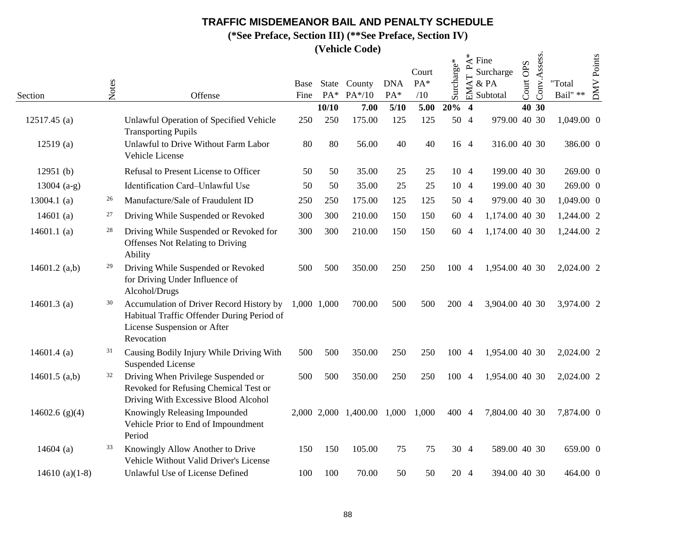**(\*See Preface, Section III) (\*\*See Preface, Section IV)**

|                  |       |                                                                                                                                     |              |       | <i>(venicle Code)</i>      |                   |                     |            |                  |                                                               |              |              |                            |            |
|------------------|-------|-------------------------------------------------------------------------------------------------------------------------------------|--------------|-------|----------------------------|-------------------|---------------------|------------|------------------|---------------------------------------------------------------|--------------|--------------|----------------------------|------------|
| Section          | Notes | Offense                                                                                                                             | Base<br>Fine | $PA*$ | State County<br>PA*/10     | <b>DNA</b><br>PA* | Court<br>PA*<br>/10 | Surcharge* | $\sim$<br>EMAT   | $\stackrel{*}{\preceq}$ Fine<br>Surcharge<br>& PA<br>Subtotal | OPS<br>Court | Conv.Assess. | "Total<br>Bail" $\ast\ast$ | DMV Points |
|                  |       |                                                                                                                                     |              | 10/10 | 7.00                       | $5/10$            | 5.00                | 20%        | $\boldsymbol{4}$ |                                                               |              | 40 30        |                            |            |
| $12517.45$ (a)   |       | Unlawful Operation of Specified Vehicle<br><b>Transporting Pupils</b>                                                               | 250          | 250   | 175.00                     | 125               | 125                 | 50 4       |                  | 979.00 40 30                                                  |              |              | 1,049.00 0                 |            |
| 12519(a)         |       | Unlawful to Drive Without Farm Labor<br>Vehicle License                                                                             | 80           | 80    | 56.00                      | 40                | 40                  | 16 4       |                  | 316.00 40 30                                                  |              |              | 386.00 0                   |            |
| 12951(b)         |       | Refusal to Present License to Officer                                                                                               | 50           | 50    | 35.00                      | 25                | 25                  |            | 10 4             | 199.00 40 30                                                  |              |              | 269.00 0                   |            |
| $13004$ (a-g)    |       | Identification Card-Unlawful Use                                                                                                    | 50           | 50    | 35.00                      | 25                | 25                  | 10 4       |                  | 199.00 40 30                                                  |              |              | 269.00 0                   |            |
| 13004.1 $(a)$    | 26    | Manufacture/Sale of Fraudulent ID                                                                                                   | 250          | 250   | 175.00                     | 125               | 125                 | 50 4       |                  | 979.00 40 30                                                  |              |              | 1,049.00 0                 |            |
| 14601 $(a)$      | 27    | Driving While Suspended or Revoked                                                                                                  | 300          | 300   | 210.00                     | 150               | 150                 | 60 4       |                  | 1,174.00 40 30                                                |              |              | 1,244.00 2                 |            |
| 14601.1 $(a)$    | 28    | Driving While Suspended or Revoked for<br><b>Offenses Not Relating to Driving</b><br>Ability                                        | 300          | 300   | 210.00                     | 150               | 150                 | 60 4       |                  | 1,174.00 40 30                                                |              |              | 1,244.00 2                 |            |
| 14601.2 $(a,b)$  | 29    | Driving While Suspended or Revoked<br>for Driving Under Influence of<br>Alcohol/Drugs                                               | 500          | 500   | 350.00                     | 250               | 250                 | 100 4      |                  | 1,954.00 40 30                                                |              |              | 2,024.00 2                 |            |
| 14601.3 $(a)$    | 30    | Accumulation of Driver Record History by<br>Habitual Traffic Offender During Period of<br>License Suspension or After<br>Revocation | 1,000 1,000  |       | 700.00                     | 500               | 500                 | 200 4      |                  | 3,904.00 40 30                                                |              |              | 3,974.00 2                 |            |
| 14601.4 $(a)$    | 31    | Causing Bodily Injury While Driving With<br><b>Suspended License</b>                                                                | 500          | 500   | 350.00                     | 250               | 250                 | 100 4      |                  | 1,954.00 40 30                                                |              |              | 2,024.00 2                 |            |
| 14601.5 $(a,b)$  | 32    | Driving When Privilege Suspended or<br>Revoked for Refusing Chemical Test or<br>Driving With Excessive Blood Alcohol                | 500          | 500   | 350.00                     | 250               | 250                 | 100 4      |                  | 1,954.00 40 30                                                |              |              | 2,024.00 2                 |            |
| 14602.6 $(g)(4)$ |       | Knowingly Releasing Impounded<br>Vehicle Prior to End of Impoundment<br>Period                                                      |              |       | 2,000 2,000 1,400.00 1,000 |                   | 1,000               | 400 4      |                  | 7,804.00 40 30                                                |              |              | 7,874.00 0                 |            |
| 14604 $(a)$      | 33    | Knowingly Allow Another to Drive<br>Vehicle Without Valid Driver's License                                                          | 150          | 150   | 105.00                     | 75                | 75                  |            | 30 4             | 589.00 40 30                                                  |              |              | 659.00 0                   |            |
| 14610 $(a)(1-8)$ |       | Unlawful Use of License Defined                                                                                                     | 100          | 100   | 70.00                      | 50                | 50                  | 20 4       |                  | 394.00 40 30                                                  |              |              | 464.00 0                   |            |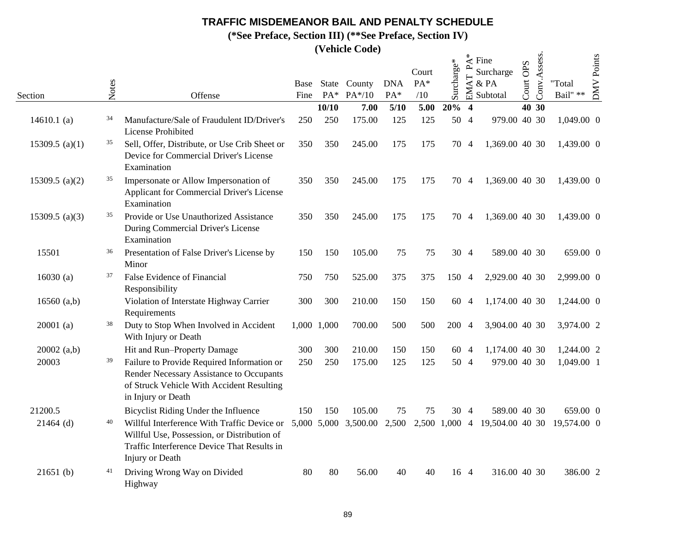**(\*See Preface, Section III) (\*\*See Preface, Section IV)**

|                   |       |                                                                                                                                                              | Base        |             | State County | <b>DNA</b> | Court<br>$PA*$ | Surcharge* | $\mathbf{A}^*$<br>$\overline{\phantom{a}}$<br>AT | Fine<br>Surcharge<br>& PA     | OPS   | Conv.Assess. | "Total           | <b>DMV</b> Points |
|-------------------|-------|--------------------------------------------------------------------------------------------------------------------------------------------------------------|-------------|-------------|--------------|------------|----------------|------------|--------------------------------------------------|-------------------------------|-------|--------------|------------------|-------------------|
| Section           | Notes | Offense                                                                                                                                                      | Fine        | $PA^*$      | $PA*/10$     | $PA*$      | /10            |            | EM                                               | Subtotal                      | Court |              | Bail" $\ast\ast$ |                   |
|                   |       |                                                                                                                                                              |             | 10/10       | 7.00         | 5/10       | 5.00           | 20% 4      |                                                  |                               |       | 40 30        |                  |                   |
| 14610.1 $(a)$     | 34    | Manufacture/Sale of Fraudulent ID/Driver's<br><b>License Prohibited</b>                                                                                      | 250         | 250         | 175.00       | 125        | 125            |            | 50 4                                             | 979.00 40 30                  |       |              | 1,049.00 0       |                   |
| 15309.5 (a)(1)    | 35    | Sell, Offer, Distribute, or Use Crib Sheet or<br>Device for Commercial Driver's License<br>Examination                                                       | 350         | 350         | 245.00       | 175        | 175            |            | 70 4                                             | 1,369.00 40 30                |       |              | 1,439.00 0       |                   |
| 15309.5 (a) $(2)$ | 35    | Impersonate or Allow Impersonation of<br><b>Applicant for Commercial Driver's License</b><br>Examination                                                     | 350         | 350         | 245.00       | 175        | 175            |            | 70 4                                             | 1,369.00 40 30                |       |              | 1,439.00 0       |                   |
| 15309.5 (a)(3)    | 35    | Provide or Use Unauthorized Assistance<br>During Commercial Driver's License<br>Examination                                                                  | 350         | 350         | 245.00       | 175        | 175            |            | 70 4                                             | 1,369.00 40 30                |       |              | 1,439.00 0       |                   |
| 15501             | 36    | Presentation of False Driver's License by<br>Minor                                                                                                           | 150         | 150         | 105.00       | 75         | 75             |            | 30 4                                             | 589.00 40 30                  |       |              | 659.00 0         |                   |
| 16030 $(a)$       | 37    | False Evidence of Financial<br>Responsibility                                                                                                                | 750         | 750         | 525.00       | 375        | 375            | 150        | $\overline{4}$                                   | 2,929.00 40 30                |       |              | 2,999.00 0       |                   |
| 16560 $(a,b)$     |       | Violation of Interstate Highway Carrier<br>Requirements                                                                                                      | 300         | 300         | 210.00       | 150        | 150            |            | 60 4                                             | 1,174.00 40 30                |       |              | 1,244.00 0       |                   |
| $20001$ (a)       | 38    | Duty to Stop When Involved in Accident<br>With Injury or Death                                                                                               |             | 1,000 1,000 | 700.00       | 500        | 500            | 200        | -4                                               | 3,904.00 40 30                |       |              | 3,974.00 2       |                   |
| 20002(a,b)        |       | Hit and Run-Property Damage                                                                                                                                  | 300         | 300         | 210.00       | 150        | 150            |            | 60 4                                             | 1,174.00 40 30                |       |              | 1,244.00 2       |                   |
| 20003             | 39    | Failure to Provide Required Information or<br>Render Necessary Assistance to Occupants<br>of Struck Vehicle With Accident Resulting<br>in Injury or Death    | 250         | 250         | 175.00       | 125        | 125            |            | 50 4                                             | 979.00 40 30                  |       |              | 1,049.00 1       |                   |
| 21200.5           |       | Bicyclist Riding Under the Influence                                                                                                                         | 150         | 150         | 105.00       | 75         | 75             |            | 30 4                                             | 589.00 40 30                  |       |              | 659.00 0         |                   |
| $21464$ (d)       | 40    | Willful Interference With Traffic Device or<br>Willful Use, Possession, or Distribution of<br>Traffic Interference Device That Results in<br>Injury or Death | 5,000 5,000 |             | 3,500.00     | 2,500      |                |            |                                                  | 2,500 1,000 4 19,504.00 40 30 |       |              | 19,574.00 0      |                   |
| 21651(b)          |       | Driving Wrong Way on Divided<br>Highway                                                                                                                      | 80          | 80          | 56.00        | 40         | 40             |            | 16 4                                             | 316.00 40 30                  |       |              | 386.00 2         |                   |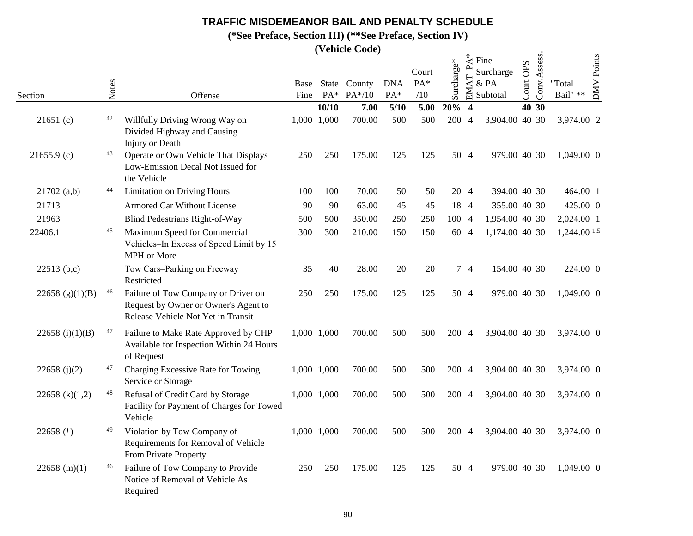**(\*See Preface, Section III) (\*\*See Preface, Section IV)**

|                    |       |                                                                                                                   |      |             | (venicle Coue)                |                   |                     |            |                         |                                                               |                       |              |                    |                   |
|--------------------|-------|-------------------------------------------------------------------------------------------------------------------|------|-------------|-------------------------------|-------------------|---------------------|------------|-------------------------|---------------------------------------------------------------|-----------------------|--------------|--------------------|-------------------|
| Section            | Notes | Offense                                                                                                           | Fine | $PA*$       | Base State County<br>$PA*/10$ | <b>DNA</b><br>PA* | Court<br>PA*<br>/10 | Surcharge* | $\mathbf{r}$<br>EMAT    | $\stackrel{*}{\preceq}$ Fine<br>Surcharge<br>& PA<br>Subtotal | <b>OPS</b><br>Court ( | Conv.Assess. | "Total<br>Bail" ** | <b>DMV</b> Points |
|                    |       |                                                                                                                   |      | 10/10       | 7.00                          | 5/10              | 5.00                | 20%        | $\overline{\mathbf{4}}$ |                                                               | 40 30                 |              |                    |                   |
| 21651(c)           | 42    | Willfully Driving Wrong Way on<br>Divided Highway and Causing<br><b>Injury</b> or Death                           |      | 1,000 1,000 | 700.00                        | 500               | 500                 | 200 4      |                         | 3,904.00 40 30                                                |                       |              | 3,974.00 2         |                   |
| $21655.9$ (c)      | 43    | Operate or Own Vehicle That Displays<br>Low-Emission Decal Not Issued for<br>the Vehicle                          | 250  | 250         | 175.00                        | 125               | 125                 | 50 4       |                         | 979.00 40 30                                                  |                       |              | 1,049.00 0         |                   |
| 21702(a,b)         | 44    | <b>Limitation on Driving Hours</b>                                                                                | 100  | 100         | 70.00                         | 50                | 50                  | 20 4       |                         | 394.00 40 30                                                  |                       |              | 464.00 1           |                   |
| 21713              |       | <b>Armored Car Without License</b>                                                                                | 90   | 90          | 63.00                         | 45                | 45                  | 18 4       |                         | 355.00 40 30                                                  |                       |              | 425.00 0           |                   |
| 21963              |       | <b>Blind Pedestrians Right-of-Way</b>                                                                             | 500  | 500         | 350.00                        | 250               | 250                 | 100 4      |                         | 1,954.00 40 30                                                |                       |              | 2,024.00 1         |                   |
| 22406.1            | 45    | Maximum Speed for Commercial<br>Vehicles-In Excess of Speed Limit by 15<br>MPH or More                            | 300  | 300         | 210.00                        | 150               | 150                 | 60 4       |                         | 1,174.00 40 30                                                |                       |              | 1,244.00 1.5       |                   |
| 22513(b,c)         |       | Tow Cars-Parking on Freeway<br>Restricted                                                                         | 35   | 40          | 28.00                         | 20                | 20                  |            | 74                      | 154.00 40 30                                                  |                       |              | 224.00 0           |                   |
| 22658 (g) $(1)(B)$ | 46    | Failure of Tow Company or Driver on<br>Request by Owner or Owner's Agent to<br>Release Vehicle Not Yet in Transit | 250  | 250         | 175.00                        | 125               | 125                 | 50 4       |                         | 979.00 40 30                                                  |                       |              | 1,049.00 0         |                   |
| 22658 (i) $(1)(B)$ | 47    | Failure to Make Rate Approved by CHP<br>Available for Inspection Within 24 Hours<br>of Request                    |      | 1,000 1,000 | 700.00                        | 500               | 500                 | 200 4      |                         | 3,904.00 40 30                                                |                       |              | 3,974.00 0         |                   |
| 22658 (j)(2)       | 47    | Charging Excessive Rate for Towing<br>Service or Storage                                                          |      | 1,000 1,000 | 700.00                        | 500               | 500                 | 200 4      |                         | 3,904.00 40 30                                                |                       |              | 3,974.00 0         |                   |
| 22658 (k) $(1,2)$  | 48    | Refusal of Credit Card by Storage<br>Facility for Payment of Charges for Towed<br>Vehicle                         |      | 1,000 1,000 | 700.00                        | 500               | 500                 | 200 4      |                         | 3,904.00 40 30                                                |                       |              | 3,974.00 0         |                   |
| 22658 (l)          | 49    | Violation by Tow Company of<br>Requirements for Removal of Vehicle<br>From Private Property                       |      | 1,000 1,000 | 700.00                        | 500               | 500                 | 200 4      |                         | 3,904.00 40 30                                                |                       |              | 3,974.00 0         |                   |
| 22658 (m)(1)       | 46    | Failure of Tow Company to Provide<br>Notice of Removal of Vehicle As<br>Required                                  | 250  | 250         | 175.00                        | 125               | 125                 | 50 4       |                         | 979.00 40 30                                                  |                       |              | 1,049.00 0         |                   |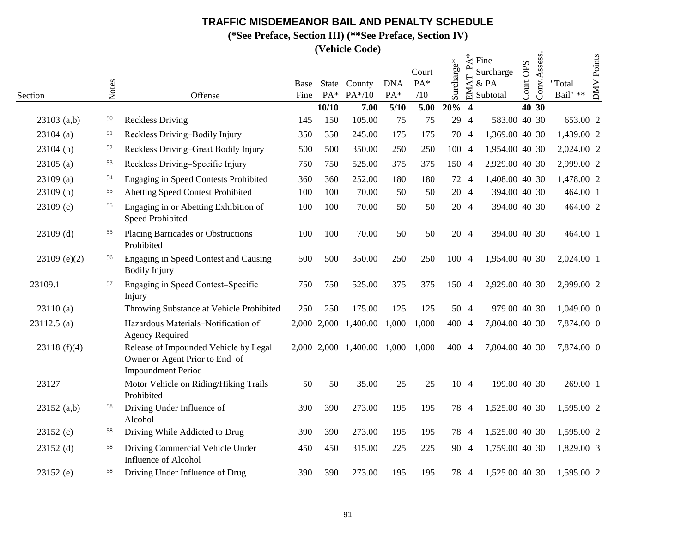**(\*See Preface, Section III) (\*\*See Preface, Section IV)**

|                |       |                                                                                                      |              |             | (venicle Coue)         |                   |                     |            |                           |                                                               |                |              |                    |                   |
|----------------|-------|------------------------------------------------------------------------------------------------------|--------------|-------------|------------------------|-------------------|---------------------|------------|---------------------------|---------------------------------------------------------------|----------------|--------------|--------------------|-------------------|
| Section        | Notes | Offense                                                                                              | Base<br>Fine | $PA*$       | State County<br>PA*/10 | <b>DNA</b><br>PA* | Court<br>PA*<br>/10 | Surcharge* | $\sim$<br>$\vdash$<br>EMA | $\stackrel{*}{\preceq}$ Fine<br>Surcharge<br>& PA<br>Subtotal | OPS<br>Court ( | Conv.Assess. | "Total<br>Bail" ** | <b>DMV</b> Points |
|                |       |                                                                                                      |              | 10/10       | 7.00                   | 5/10              | 5.00                | 20%        | $\overline{\mathbf{4}}$   |                                                               |                | 40 30        |                    |                   |
| $23103$ (a,b)  | 50    | <b>Reckless Driving</b>                                                                              | 145          | 150         | 105.00                 | 75                | 75                  |            | 29 4                      | 583.00 40 30                                                  |                |              | 653.00 2           |                   |
| $23104$ (a)    | 51    | Reckless Driving-Bodily Injury                                                                       | 350          | 350         | 245.00                 | 175               | 175                 |            | 70 4                      | 1,369.00 40 30                                                |                |              | 1,439.00 2         |                   |
| $23104$ (b)    | 52    | Reckless Driving-Great Bodily Injury                                                                 | 500          | 500         | 350.00                 | 250               | 250                 | 100 4      |                           | 1,954.00 40 30                                                |                |              | 2,024.00 2         |                   |
| $23105$ (a)    | 53    | Reckless Driving-Specific Injury                                                                     | 750          | 750         | 525.00                 | 375               | 375                 | 150 4      |                           | 2,929.00 40 30                                                |                |              | 2,999.00 2         |                   |
| $23109$ (a)    | 54    | <b>Engaging in Speed Contests Prohibited</b>                                                         | 360          | 360         | 252.00                 | 180               | 180                 | 72 4       |                           | 1,408.00 40 30                                                |                |              | 1,478.00 2         |                   |
| $23109$ (b)    | 55    | <b>Abetting Speed Contest Prohibited</b>                                                             | 100          | 100         | 70.00                  | 50                | 50                  |            | 20 4                      | 394.00 40 30                                                  |                |              | 464.00 1           |                   |
| $23109$ (c)    | 55    | Engaging in or Abetting Exhibition of<br><b>Speed Prohibited</b>                                     | 100          | 100         | 70.00                  | 50                | 50                  |            | 20 4                      | 394.00 40 30                                                  |                |              | 464.00 2           |                   |
| $23109$ (d)    | 55    | <b>Placing Barricades or Obstructions</b><br>Prohibited                                              | 100          | 100         | 70.00                  | 50                | 50                  | 20 4       |                           | 394.00 40 30                                                  |                |              | 464.00 1           |                   |
| $23109$ (e)(2) | 56    | Engaging in Speed Contest and Causing<br><b>Bodily Injury</b>                                        | 500          | 500         | 350.00                 | 250               | 250                 | 100 4      |                           | 1,954.00 40 30                                                |                |              | 2,024.00 1         |                   |
| 23109.1        | 57    | Engaging in Speed Contest-Specific<br>Injury                                                         | 750          | 750         | 525.00                 | 375               | 375                 | 150 4      |                           | 2,929.00 40 30                                                |                |              | 2,999.00 2         |                   |
| 23110(a)       |       | Throwing Substance at Vehicle Prohibited                                                             | 250          | 250         | 175.00                 | 125               | 125                 | 50 4       |                           | 979.00 40 30                                                  |                |              | 1,049.00 0         |                   |
| 23112.5 (a)    |       | Hazardous Materials-Notification of<br><b>Agency Required</b>                                        |              | 2,000 2,000 | 1,400.00               | 1,000             | 1,000               | 400 4      |                           | 7,804.00 40 30                                                |                |              | 7,874.00 0         |                   |
| 23118(f)(4)    |       | Release of Impounded Vehicle by Legal<br>Owner or Agent Prior to End of<br><b>Impoundment Period</b> |              |             | 2,000 2,000 1,400.00   | 1,000             | 1,000               | 400 4      |                           | 7,804.00 40 30                                                |                |              | 7,874.00 0         |                   |
| 23127          |       | Motor Vehicle on Riding/Hiking Trails<br>Prohibited                                                  | 50           | 50          | 35.00                  | 25                | 25                  |            | 10 4                      | 199.00 40 30                                                  |                |              | 269.00 1           |                   |
| 23152(a,b)     | 58    | Driving Under Influence of<br>Alcohol                                                                | 390          | 390         | 273.00                 | 195               | 195                 |            | 78 4                      | 1,525.00 40 30                                                |                |              | 1,595.00 2         |                   |
| 23152(c)       | 58    | Driving While Addicted to Drug                                                                       | 390          | 390         | 273.00                 | 195               | 195                 | 78 4       |                           | 1,525.00 40 30                                                |                |              | 1,595.00 2         |                   |
| $23152$ (d)    | 58    | Driving Commercial Vehicle Under<br><b>Influence of Alcohol</b>                                      | 450          | 450         | 315.00                 | 225               | 225                 | 90 4       |                           | 1,759.00 40 30                                                |                |              | 1,829.00 3         |                   |
| $23152$ (e)    | 58    | Driving Under Influence of Drug                                                                      | 390          | 390         | 273.00                 | 195               | 195                 |            | 78 4                      | 1,525.00 40 30                                                |                |              | 1,595.00 2         |                   |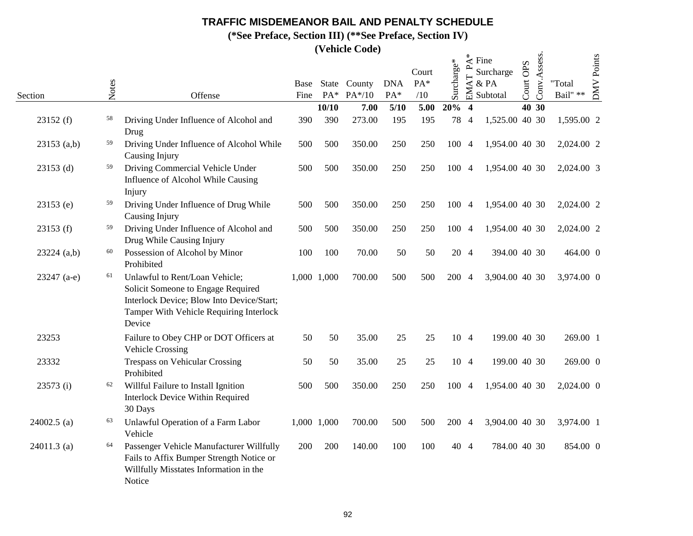**(\*See Preface, Section III) (\*\*See Preface, Section IV)**

|               | Notes |                                                                                                                                                                        | Base |             | State County       | <b>DNA</b>  | Court<br>$PA*$ | Surcharge* | $\mathbf{r}$<br>AT                      | $\stackrel{*}{\preceq}$ Fine<br>Surcharge<br>& PA | <b>OPS</b><br>Court | Conv.Assess. | "Total           | <b>DMV</b> Points |
|---------------|-------|------------------------------------------------------------------------------------------------------------------------------------------------------------------------|------|-------------|--------------------|-------------|----------------|------------|-----------------------------------------|---------------------------------------------------|---------------------|--------------|------------------|-------------------|
| Section       |       | Offense                                                                                                                                                                | Fine | 10/10       | PA* PA*/10<br>7.00 | PA*<br>5/10 | /10<br>5.00    | 20%        | $\mathbf{F}$<br>$\overline{\mathbf{4}}$ | Subtotal                                          |                     | 40 30        | Bail" $\ast\ast$ |                   |
| 23152(f)      | 58    | Driving Under Influence of Alcohol and<br>Drug                                                                                                                         | 390  | 390         | 273.00             | 195         | 195            |            | 78 4                                    | 1,525.00 40 30                                    |                     |              | 1,595.00 2       |                   |
| $23153$ (a,b) | 59    | Driving Under Influence of Alcohol While<br>Causing Injury                                                                                                             | 500  | 500         | 350.00             | 250         | 250            | 100 4      |                                         | 1,954.00 40 30                                    |                     |              | 2,024.00 2       |                   |
| $23153$ (d)   | 59    | Driving Commercial Vehicle Under<br>Influence of Alcohol While Causing<br>Injury                                                                                       | 500  | 500         | 350.00             | 250         | 250            | 100 4      |                                         | 1,954.00 40 30                                    |                     |              | 2,024.00 3       |                   |
| $23153$ (e)   | 59    | Driving Under Influence of Drug While<br>Causing Injury                                                                                                                | 500  | 500         | 350.00             | 250         | 250            | 100 4      |                                         | 1,954.00 40 30                                    |                     |              | 2,024.00 2       |                   |
| 23153(f)      | 59    | Driving Under Influence of Alcohol and<br>Drug While Causing Injury                                                                                                    | 500  | 500         | 350.00             | 250         | 250            | 100 4      |                                         | 1,954.00 40 30                                    |                     |              | 2,024.00 2       |                   |
| 23224 (a,b)   | 60    | Possession of Alcohol by Minor<br>Prohibited                                                                                                                           | 100  | 100         | 70.00              | 50          | 50             | 20 4       |                                         | 394.00 40 30                                      |                     |              | 464.00 0         |                   |
| $23247$ (a-e) | 61    | Unlawful to Rent/Loan Vehicle;<br>Solicit Someone to Engage Required<br>Interlock Device; Blow Into Device/Start;<br>Tamper With Vehicle Requiring Interlock<br>Device |      | 1,000 1,000 | 700.00             | 500         | 500            | 200 4      |                                         | 3,904.00 40 30                                    |                     |              | 3,974.00 0       |                   |
| 23253         |       | Failure to Obey CHP or DOT Officers at<br><b>Vehicle Crossing</b>                                                                                                      | 50   | 50          | 35.00              | 25          | 25             |            | 10 4                                    | 199.00 40 30                                      |                     |              | 269.00 1         |                   |
| 23332         |       | <b>Trespass on Vehicular Crossing</b><br>Prohibited                                                                                                                    | 50   | 50          | 35.00              | 25          | 25             |            | 10 4                                    | 199.00 40 30                                      |                     |              | 269.00 0         |                   |
| 23573 (i)     | 62    | Willful Failure to Install Ignition<br><b>Interlock Device Within Required</b><br>30 Days                                                                              | 500  | 500         | 350.00             | 250         | 250            | 100 4      |                                         | 1,954.00 40 30                                    |                     |              | 2,024.00 0       |                   |
| $24002.5$ (a) | 63    | Unlawful Operation of a Farm Labor<br>Vehicle                                                                                                                          |      | 1,000 1,000 | 700.00             | 500         | 500            | 200 4      |                                         | 3,904.00 40 30                                    |                     |              | 3,974.00 1       |                   |
| $24011.3$ (a) | 64    | Passenger Vehicle Manufacturer Willfully<br>Fails to Affix Bumper Strength Notice or<br>Willfully Misstates Information in the<br>Notice                               | 200  | 200         | 140.00             | 100         | 100            |            | 40 4                                    | 784.00 40 30                                      |                     |              | 854.00 0         |                   |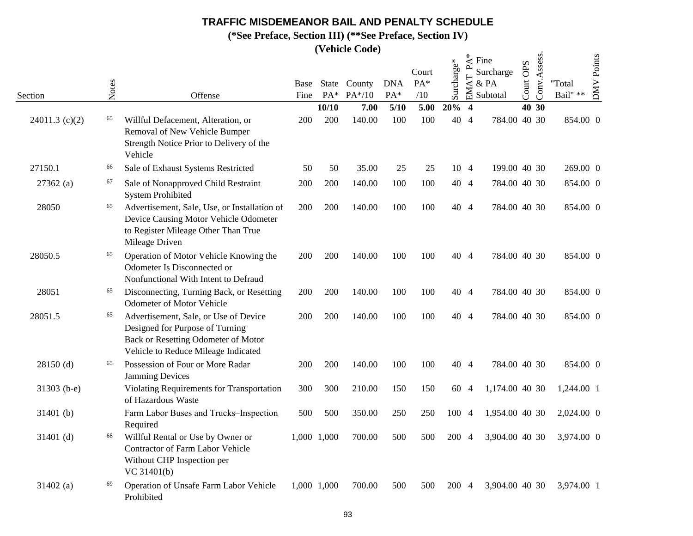**(\*See Preface, Section III) (\*\*See Preface, Section IV)**

|                  |       |                                                                                                                                                        |              |              | <i>(venicle Code)</i> |                   |                     |            |                  |                                                               |              |              |                    |            |
|------------------|-------|--------------------------------------------------------------------------------------------------------------------------------------------------------|--------------|--------------|-----------------------|-------------------|---------------------|------------|------------------|---------------------------------------------------------------|--------------|--------------|--------------------|------------|
| Section          | Notes | Offense                                                                                                                                                | Base<br>Fine | State<br>PA* | County<br>$PA*/10$    | <b>DNA</b><br>PA* | Court<br>PA*<br>/10 | Surcharge* | EMAT P           | $\stackrel{*}{\preceq}$ Fine<br>Surcharge<br>& PA<br>Subtotal | OPS<br>Court | Conv.Assess. | "Total<br>Bail" ** | DMV Points |
|                  |       |                                                                                                                                                        |              | 10/10        | 7.00                  | 5/10              | 5.00                | 20%        | $\boldsymbol{4}$ |                                                               | 40 30        |              |                    |            |
| $24011.3$ (c)(2) | 65    | Willful Defacement, Alteration, or<br>Removal of New Vehicle Bumper<br>Strength Notice Prior to Delivery of the<br>Vehicle                             | 200          | 200          | 140.00                | 100               | 100                 | 40 4       |                  | 784.00 40 30                                                  |              |              | 854.00 0           |            |
| 27150.1          | 66    | Sale of Exhaust Systems Restricted                                                                                                                     | 50           | 50           | 35.00                 | 25                | 25                  |            | 10 4             | 199.00 40 30                                                  |              |              | 269.00 0           |            |
| $27362$ (a)      | 67    | Sale of Nonapproved Child Restraint<br><b>System Prohibited</b>                                                                                        | 200          | 200          | 140.00                | 100               | 100                 |            | 40 4             | 784.00 40 30                                                  |              |              | 854.00 0           |            |
| 28050            | 65    | Advertisement, Sale, Use, or Installation of<br>Device Causing Motor Vehicle Odometer<br>to Register Mileage Other Than True<br>Mileage Driven         | 200          | 200          | 140.00                | 100               | 100                 |            | 40 4             | 784.00 40 30                                                  |              |              | 854.00 0           |            |
| 28050.5          | 65    | Operation of Motor Vehicle Knowing the<br>Odometer Is Disconnected or<br>Nonfunctional With Intent to Defraud                                          | 200          | 200          | 140.00                | 100               | 100                 |            | 40 4             | 784.00 40 30                                                  |              |              | 854.00 0           |            |
| 28051            | 65    | Disconnecting, Turning Back, or Resetting<br><b>Odometer of Motor Vehicle</b>                                                                          | 200          | 200          | 140.00                | 100               | 100                 | 40 4       |                  | 784.00 40 30                                                  |              |              | 854.00 0           |            |
| 28051.5          | 65    | Advertisement, Sale, or Use of Device<br>Designed for Purpose of Turning<br>Back or Resetting Odometer of Motor<br>Vehicle to Reduce Mileage Indicated | 200          | 200          | 140.00                | 100               | 100                 |            | 40 4             | 784.00 40 30                                                  |              |              | 854.00 0           |            |
| 28150 (d)        | 65    | Possession of Four or More Radar<br><b>Jamming Devices</b>                                                                                             | 200          | 200          | 140.00                | 100               | 100                 | 40 4       |                  | 784.00 40 30                                                  |              |              | 854.00 0           |            |
| 31303 (b-e)      |       | Violating Requirements for Transportation<br>of Hazardous Waste                                                                                        | 300          | 300          | 210.00                | 150               | 150                 | 60 4       |                  | 1,174.00 40 30                                                |              |              | 1,244.00 1         |            |
| 31401 (b)        |       | Farm Labor Buses and Trucks-Inspection<br>Required                                                                                                     | 500          | 500          | 350.00                | 250               | 250                 | 100 4      |                  | 1,954.00 40 30                                                |              |              | 2,024.00 0         |            |
| 31401 (d)        | 68    | Willful Rental or Use by Owner or<br>Contractor of Farm Labor Vehicle<br>Without CHP Inspection per<br>VC 31401(b)                                     | 1,000 1,000  |              | 700.00                | 500               | 500                 | 200 4      |                  | 3,904.00 40 30                                                |              |              | 3,974.00 0         |            |
| $31402$ (a)      | 69    | Operation of Unsafe Farm Labor Vehicle<br>Prohibited                                                                                                   | 1,000 1,000  |              | 700.00                | 500               | 500                 | 200 4      |                  | 3,904.00 40 30                                                |              |              | 3,974.00 1         |            |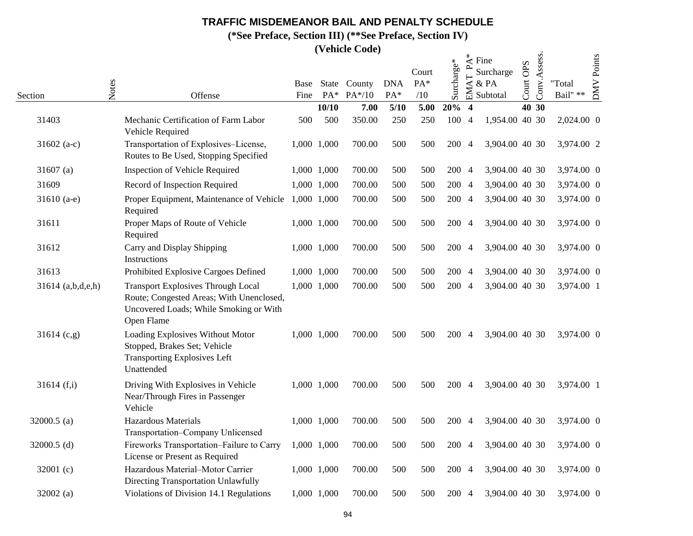**(\*See Preface, Section III) (\*\*See Preface, Section IV)**

|                   |       |                                                                                                                                               |              |                       | (Vellicie Coue)    |                   |                     |            |                                  |                                                               |              |              |                    |                   |
|-------------------|-------|-----------------------------------------------------------------------------------------------------------------------------------------------|--------------|-----------------------|--------------------|-------------------|---------------------|------------|----------------------------------|---------------------------------------------------------------|--------------|--------------|--------------------|-------------------|
| Section           | Notes | Offense                                                                                                                                       | Base<br>Fine | <b>State</b><br>$PA*$ | County<br>$PA*/10$ | <b>DNA</b><br>PA* | Court<br>PA*<br>/10 | Surcharge* | $\mathbf{r}$<br>$\Delta T$<br>EM | $\stackrel{*}{\preceq}$ Fine<br>Surcharge<br>& PA<br>Subtotal | OPS<br>Court | Conv.Assess. | "Total<br>Bail" ** | <b>DMV</b> Points |
|                   |       |                                                                                                                                               |              | 10/10                 | 7.00               | 5/10              | 5.00                | 20%        | $\overline{4}$                   |                                                               |              | 40 30        |                    |                   |
| 31403             |       | Mechanic Certification of Farm Labor<br>Vehicle Required                                                                                      | 500          | 500                   | 350.00             | 250               | 250                 | 100 4      |                                  | 1,954.00 40 30                                                |              |              | 2,024.00 0         |                   |
| 31602 $(a-c)$     |       | Transportation of Explosives-License,<br>Routes to Be Used, Stopping Specified                                                                |              | 1,000 1,000           | 700.00             | 500               | 500                 | 200 4      |                                  | 3,904.00 40 30                                                |              |              | 3,974.00 2         |                   |
| 31607 $(a)$       |       | <b>Inspection of Vehicle Required</b>                                                                                                         |              | 1,000 1,000           | 700.00             | 500               | 500                 | 200 4      |                                  | 3,904.00 40 30                                                |              |              | 3,974.00 0         |                   |
| 31609             |       | Record of Inspection Required                                                                                                                 |              | 1,000 1,000           | 700.00             | 500               | 500                 | 200 4      |                                  | 3,904.00 40 30                                                |              |              | 3,974.00 0         |                   |
| 31610 $(a-e)$     |       | Proper Equipment, Maintenance of Vehicle 1,000 1,000<br>Required                                                                              |              |                       | 700.00             | 500               | 500                 | 200 4      |                                  | 3,904.00 40 30                                                |              |              | 3,974.00 0         |                   |
| 31611             |       | Proper Maps of Route of Vehicle<br>Required                                                                                                   |              | 1,000 1,000           | 700.00             | 500               | 500                 | 200 4      |                                  | 3,904.00 40 30                                                |              |              | 3,974.00 0         |                   |
| 31612             |       | Carry and Display Shipping<br>Instructions                                                                                                    |              | 1,000 1,000           | 700.00             | 500               | 500                 | 200 4      |                                  | 3,904.00 40 30                                                |              |              | 3,974.00 0         |                   |
| 31613             |       | Prohibited Explosive Cargoes Defined                                                                                                          |              | 1,000 1,000           | 700.00             | 500               | 500                 | 200 4      |                                  | 3,904.00 40 30                                                |              |              | 3,974.00 0         |                   |
| 31614 (a,b,d,e,h) |       | <b>Transport Explosives Through Local</b><br>Route; Congested Areas; With Unenclosed,<br>Uncovered Loads; While Smoking or With<br>Open Flame |              | 1,000 1,000           | 700.00             | 500               | 500                 | 200 4      |                                  | 3,904.00 40 30                                                |              |              | 3,974.00 1         |                   |
| 31614 (c,g)       |       | Loading Explosives Without Motor<br>Stopped, Brakes Set; Vehicle<br><b>Transporting Explosives Left</b><br>Unattended                         |              | 1,000 1,000           | 700.00             | 500               | 500                 | 200 4      |                                  | 3,904.00 40 30                                                |              |              | 3,974.00 0         |                   |
| 31614(f,i)        |       | Driving With Explosives in Vehicle<br>Near/Through Fires in Passenger<br>Vehicle                                                              |              | 1,000 1,000           | 700.00             | 500               | 500                 | 200 4      |                                  | 3,904.00 40 30                                                |              |              | 3,974.00 1         |                   |
| 32000.5 $(a)$     |       | <b>Hazardous Materials</b><br>Transportation-Company Unlicensed                                                                               |              | 1,000 1,000           | 700.00             | 500               | 500                 | 200 4      |                                  | 3,904.00 40 30                                                |              |              | 3,974.00 0         |                   |
| 32000.5 $(d)$     |       | Fireworks Transportation-Failure to Carry<br>License or Present as Required                                                                   |              | 1,000 1,000           | 700.00             | 500               | 500                 | 200 4      |                                  | 3,904.00 40 30                                                |              |              | 3,974.00 0         |                   |
| 32001 $(c)$       |       | Hazardous Material-Motor Carrier<br>Directing Transportation Unlawfully                                                                       |              | 1,000 1,000           | 700.00             | 500               | 500                 | 200 4      |                                  | 3,904.00 40 30                                                |              |              | 3,974.00 0         |                   |
| 32002(a)          |       | Violations of Division 14.1 Regulations                                                                                                       |              | 1,000 1,000           | 700.00             | 500               | 500                 | 200 4      |                                  | 3,904.00 40 30                                                |              |              | 3,974.00 0         |                   |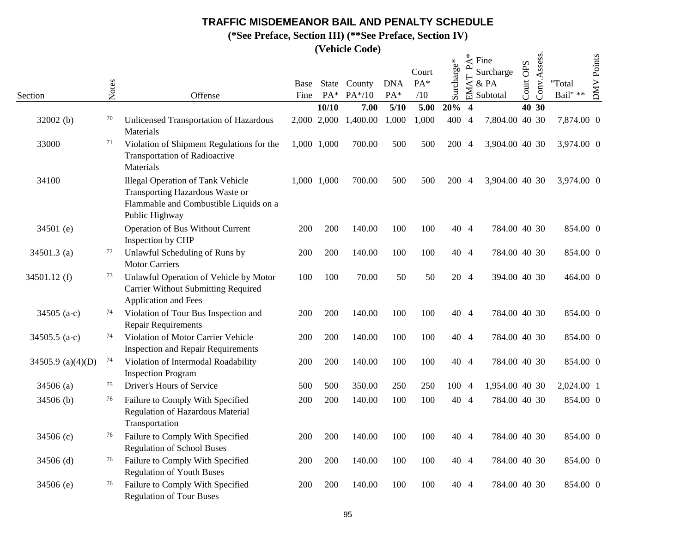**(\*See Preface, Section III) (\*\*See Preface, Section IV)**

|                   |       |                                                                                                                                         |              |                | (Venicie Coue)     |                   |                     |            |                                     |                                                               |                     |              |                            |                   |
|-------------------|-------|-----------------------------------------------------------------------------------------------------------------------------------------|--------------|----------------|--------------------|-------------------|---------------------|------------|-------------------------------------|---------------------------------------------------------------|---------------------|--------------|----------------------------|-------------------|
| Section           | Notes | Offense                                                                                                                                 | Base<br>Fine | State<br>$PA*$ | County<br>$PA*/10$ | <b>DNA</b><br>PA* | Court<br>PA*<br>/10 | Surcharge* | $\mathbf{r}$<br>$\mathsf{AT}$<br>EM | $\stackrel{*}{\preceq}$ Fine<br>Surcharge<br>& PA<br>Subtotal | <b>OPS</b><br>Court | Conv.Assess. | "Total<br>Bail" $\ast\ast$ | <b>DMV</b> Points |
|                   |       |                                                                                                                                         |              | 10/10          | 7.00               | 5/10              | 5.00                | 20%        | $\overline{\mathbf{4}}$             |                                                               |                     | 40 30        |                            |                   |
| 32002 (b)         | 70    | Unlicensed Transportation of Hazardous<br>Materials                                                                                     |              | 2,000 2,000    | 1,400.00           | 1,000             | 1,000               | 400 4      |                                     | 7,804.00 40 30                                                |                     |              | 7,874.00 0                 |                   |
| 33000             | 71    | Violation of Shipment Regulations for the<br><b>Transportation of Radioactive</b><br>Materials                                          |              | 1,000 1,000    | 700.00             | 500               | 500                 | 200 4      |                                     | 3,904.00 40 30                                                |                     |              | 3,974.00 0                 |                   |
| 34100             |       | <b>Illegal Operation of Tank Vehicle</b><br>Transporting Hazardous Waste or<br>Flammable and Combustible Liquids on a<br>Public Highway |              | 1,000 1,000    | 700.00             | 500               | 500                 | 200 4      |                                     | 3,904.00 40 30                                                |                     |              | 3,974.00 0                 |                   |
| 34501 (e)         |       | Operation of Bus Without Current<br>Inspection by CHP                                                                                   | 200          | 200            | 140.00             | 100               | 100                 | 40 4       |                                     | 784.00 40 30                                                  |                     |              | 854.00 0                   |                   |
| 34501.3 (a)       | 72    | Unlawful Scheduling of Runs by<br><b>Motor Carriers</b>                                                                                 | 200          | 200            | 140.00             | 100               | 100                 | 40 4       |                                     | 784.00 40 30                                                  |                     |              | 854.00 0                   |                   |
| 34501.12 (f)      | 73    | Unlawful Operation of Vehicle by Motor<br><b>Carrier Without Submitting Required</b><br>Application and Fees                            | 100          | 100            | 70.00              | 50                | 50                  | 20 4       |                                     | 394.00 40 30                                                  |                     |              | 464.00 0                   |                   |
| 34505 (a-c)       | 74    | Violation of Tour Bus Inspection and<br><b>Repair Requirements</b>                                                                      | 200          | 200            | 140.00             | 100               | 100                 | 40 4       |                                     | 784.00 40 30                                                  |                     |              | 854.00 0                   |                   |
| 34505.5 $(a-c)$   | 74    | Violation of Motor Carrier Vehicle<br><b>Inspection and Repair Requirements</b>                                                         | 200          | 200            | 140.00             | 100               | 100                 | 40 4       |                                     | 784.00 40 30                                                  |                     |              | 854.00 0                   |                   |
| 34505.9 (a)(4)(D) | 74    | Violation of Intermodal Roadability<br><b>Inspection Program</b>                                                                        | 200          | 200            | 140.00             | 100               | 100                 | 40 4       |                                     | 784.00 40 30                                                  |                     |              | 854.00 0                   |                   |
| 34506 (a)         | 75    | Driver's Hours of Service                                                                                                               | 500          | 500            | 350.00             | 250               | 250                 | 100 4      |                                     | 1,954.00 40 30                                                |                     |              | 2,024.00 1                 |                   |
| 34506 (b)         | 76    | Failure to Comply With Specified<br>Regulation of Hazardous Material<br>Transportation                                                  | 200          | 200            | 140.00             | 100               | 100                 | 40 4       |                                     | 784.00 40 30                                                  |                     |              | 854.00 0                   |                   |
| 34506 (c)         | 76    | Failure to Comply With Specified<br><b>Regulation of School Buses</b>                                                                   | 200          | 200            | 140.00             | 100               | 100                 |            | 40 4                                | 784.00 40 30                                                  |                     |              | 854.00 0                   |                   |
| $34506$ (d)       | 76    | Failure to Comply With Specified<br><b>Regulation of Youth Buses</b>                                                                    | 200          | 200            | 140.00             | 100               | 100                 |            | 40 4                                | 784.00 40 30                                                  |                     |              | 854.00 0                   |                   |
| 34506 (e)         | 76    | Failure to Comply With Specified<br><b>Regulation of Tour Buses</b>                                                                     | 200          | 200            | 140.00             | 100               | 100                 | 40 4       |                                     | 784.00 40 30                                                  |                     |              | 854.00 0                   |                   |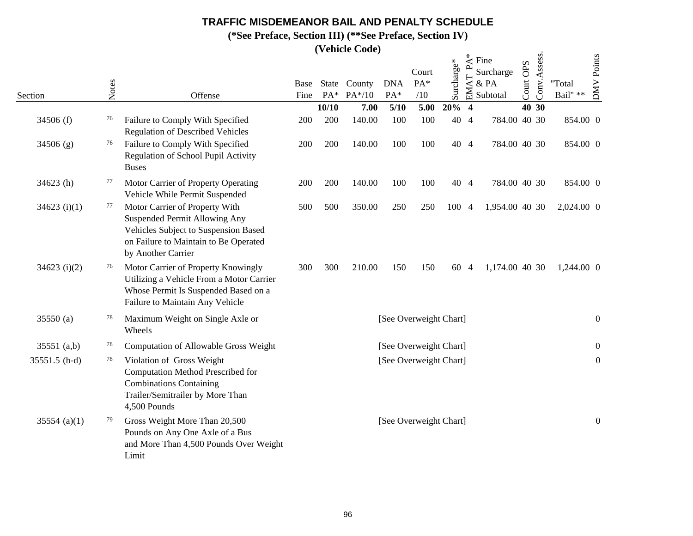**(\*See Preface, Section III) (\*\*See Preface, Section IV)**

|                | Notes |                                                                                                                                                                               | <b>Base</b> |       | State County | <b>DNA</b> | Court<br>PA*           | Surcharge* | $\overline{\phantom{a}}$<br>EMAT | $\stackrel{*}{\preceq}$ Fine<br>Surcharge<br>& PA | OPS<br>Court <sup>1</sup> | Conv.Assess. | "Total           | DMV Points       |
|----------------|-------|-------------------------------------------------------------------------------------------------------------------------------------------------------------------------------|-------------|-------|--------------|------------|------------------------|------------|----------------------------------|---------------------------------------------------|---------------------------|--------------|------------------|------------------|
| Section        |       | Offense                                                                                                                                                                       | Fine        | $PA*$ | PA*/10       | PA*        | /10                    |            |                                  | Subtotal                                          |                           |              | Bail" $\ast\ast$ |                  |
|                |       |                                                                                                                                                                               |             | 10/10 | 7.00         | 5/10       | 5.00                   | 20%        | $\overline{\mathbf{4}}$          |                                                   |                           | 40 30        |                  |                  |
| 34506 (f)      | 76    | Failure to Comply With Specified<br><b>Regulation of Described Vehicles</b>                                                                                                   | 200         | 200   | 140.00       | 100        | 100                    | 40 4       |                                  | 784.00 40 30                                      |                           |              | 854.00 0         |                  |
| 34506(g)       | 76    | Failure to Comply With Specified<br>Regulation of School Pupil Activity<br><b>Buses</b>                                                                                       | 200         | 200   | 140.00       | 100        | 100                    | 40 4       |                                  | 784.00 40 30                                      |                           |              | 854.00 0         |                  |
| $34623$ (h)    | 77    | Motor Carrier of Property Operating<br>Vehicle While Permit Suspended                                                                                                         | 200         | 200   | 140.00       | 100        | 100                    | 40 4       |                                  | 784.00 40 30                                      |                           |              | 854.00 0         |                  |
| 34623 $(i)(1)$ | 77    | Motor Carrier of Property With<br><b>Suspended Permit Allowing Any</b><br>Vehicles Subject to Suspension Based<br>on Failure to Maintain to Be Operated<br>by Another Carrier | 500         | 500   | 350.00       | 250        | 250                    | 100        | $\overline{4}$                   | 1,954.00 40 30                                    |                           |              | 2,024.00 0       |                  |
| $34623$ (i)(2) | 76    | Motor Carrier of Property Knowingly<br>Utilizing a Vehicle From a Motor Carrier<br>Whose Permit Is Suspended Based on a<br>Failure to Maintain Any Vehicle                    | 300         | 300   | 210.00       | 150        | 150                    | 60 4       |                                  | 1,174.00 40 30                                    |                           |              | 1,244.00 0       |                  |
| 35550 (a)      | 78    | Maximum Weight on Single Axle or<br>Wheels                                                                                                                                    |             |       |              |            | [See Overweight Chart] |            |                                  |                                                   |                           |              |                  | $\mathbf{0}$     |
| 35551 $(a,b)$  | 78    | Computation of Allowable Gross Weight                                                                                                                                         |             |       |              |            | [See Overweight Chart] |            |                                  |                                                   |                           |              |                  | $\overline{0}$   |
| 35551.5 (b-d)  | 78    | Violation of Gross Weight<br>Computation Method Prescribed for<br><b>Combinations Containing</b><br>Trailer/Semitrailer by More Than<br>4,500 Pounds                          |             |       |              |            | [See Overweight Chart] |            |                                  |                                                   |                           |              |                  | $\boldsymbol{0}$ |
| 35554 (a)(1)   | 79    | Gross Weight More Than 20,500<br>Pounds on Any One Axle of a Bus<br>and More Than 4,500 Pounds Over Weight<br>Limit                                                           |             |       |              |            | [See Overweight Chart] |            |                                  |                                                   |                           |              |                  | $\boldsymbol{0}$ |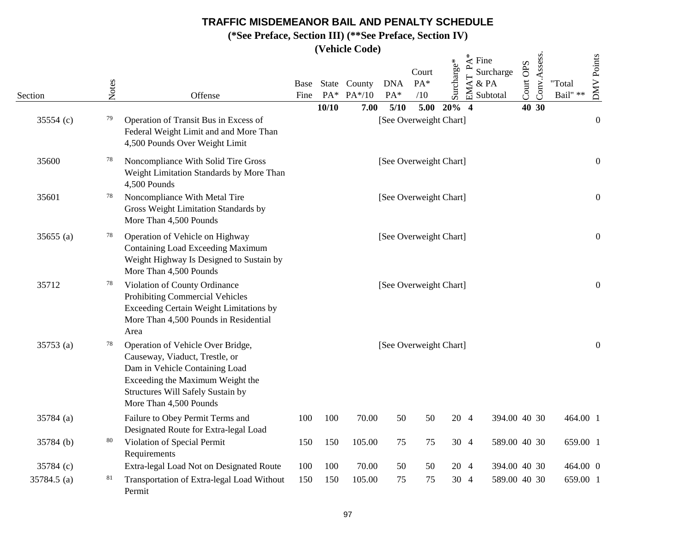**(\*See Preface, Section III) (\*\*See Preface, Section IV)**

|             |       |                                                                                                                                                                                                          |              |        | (venicie Coue)         |                   |                        |              |                                                              |                       |                       |              |                    |                   |
|-------------|-------|----------------------------------------------------------------------------------------------------------------------------------------------------------------------------------------------------------|--------------|--------|------------------------|-------------------|------------------------|--------------|--------------------------------------------------------------|-----------------------|-----------------------|--------------|--------------------|-------------------|
| Section     | Notes | Offense                                                                                                                                                                                                  | Base<br>Fine | $PA^*$ | State County<br>PA*/10 | <b>DNA</b><br>PA* | Court<br>$PA*$<br>/10  | Surcharge*   | $\stackrel{*}{\preceq}$ Fine<br>$\mathbf{r}$<br>EMAT<br>& PA | Surcharge<br>Subtotal | <b>OPS</b><br>Court ( | Conv.Assess. | "Total<br>Bail" ** | <b>DMV</b> Points |
|             |       |                                                                                                                                                                                                          |              | 10/10  | 7.00                   | 5/10              |                        | $5.00\ 20\%$ | $\overline{4}$                                               |                       | 40 30                 |              |                    |                   |
| 35554 (c)   | 79    | Operation of Transit Bus in Excess of<br>Federal Weight Limit and and More Than<br>4,500 Pounds Over Weight Limit                                                                                        |              |        |                        |                   | [See Overweight Chart] |              |                                                              |                       |                       |              |                    | $\boldsymbol{0}$  |
| 35600       | 78    | Noncompliance With Solid Tire Gross<br>Weight Limitation Standards by More Than<br>4,500 Pounds                                                                                                          |              |        |                        |                   | [See Overweight Chart] |              |                                                              |                       |                       |              |                    | $\boldsymbol{0}$  |
| 35601       | 78    | Noncompliance With Metal Tire<br>Gross Weight Limitation Standards by<br>More Than 4,500 Pounds                                                                                                          |              |        |                        |                   | [See Overweight Chart] |              |                                                              |                       |                       |              |                    | $\boldsymbol{0}$  |
| 35655(a)    | 78    | Operation of Vehicle on Highway<br><b>Containing Load Exceeding Maximum</b><br>Weight Highway Is Designed to Sustain by<br>More Than 4,500 Pounds                                                        |              |        |                        |                   | [See Overweight Chart] |              |                                                              |                       |                       |              |                    | $\boldsymbol{0}$  |
| 35712       | 78    | Violation of County Ordinance<br><b>Prohibiting Commercial Vehicles</b><br>Exceeding Certain Weight Limitations by<br>More Than 4,500 Pounds in Residential<br>Area                                      |              |        |                        |                   | [See Overweight Chart] |              |                                                              |                       |                       |              |                    | $\boldsymbol{0}$  |
| 35753 (a)   | 78    | Operation of Vehicle Over Bridge,<br>Causeway, Viaduct, Trestle, or<br>Dam in Vehicle Containing Load<br>Exceeding the Maximum Weight the<br>Structures Will Safely Sustain by<br>More Than 4,500 Pounds |              |        |                        |                   | [See Overweight Chart] |              |                                                              |                       |                       |              |                    | $\boldsymbol{0}$  |
| 35784 (a)   |       | Failure to Obey Permit Terms and<br>Designated Route for Extra-legal Load                                                                                                                                | 100          | 100    | 70.00                  | 50                | 50                     | 20 4         |                                                              | 394.00 40 30          |                       |              | 464.00 1           |                   |
| 35784 (b)   | 80    | Violation of Special Permit<br>Requirements                                                                                                                                                              | 150          | 150    | 105.00                 | 75                | 75                     |              | 30 4                                                         | 589.00 40 30          |                       |              | 659.00 1           |                   |
| 35784 (c)   |       | Extra-legal Load Not on Designated Route                                                                                                                                                                 | 100          | 100    | 70.00                  | 50                | 50                     |              | 20 4                                                         | 394.00 40 30          |                       |              | 464.00 0           |                   |
| 35784.5 (a) | 81    | Transportation of Extra-legal Load Without<br>Permit                                                                                                                                                     | 150          | 150    | 105.00                 | 75                | 75                     |              | 30 4                                                         | 589.00 40 30          |                       |              | 659.00 1           |                   |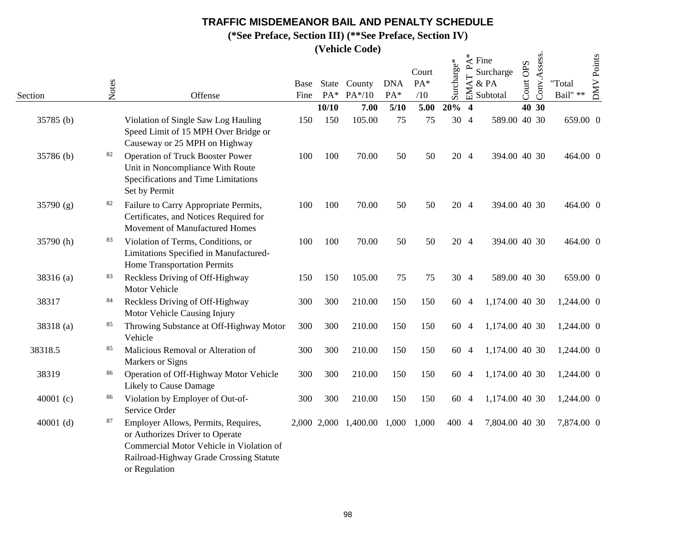**(\*See Preface, Section III) (\*\*See Preface, Section IV)**

|             |       |                                                                                                                                                                                |              |             | (venicle Coue)           |                   |                     |            |                         |                                                               |           |              |                            |                   |
|-------------|-------|--------------------------------------------------------------------------------------------------------------------------------------------------------------------------------|--------------|-------------|--------------------------|-------------------|---------------------|------------|-------------------------|---------------------------------------------------------------|-----------|--------------|----------------------------|-------------------|
| Section     | Notes | Offense                                                                                                                                                                        | Base<br>Fine | $PA^*$      | State County<br>$PA*/10$ | <b>DNA</b><br>PA* | Court<br>PA*<br>/10 | Surcharge* | ൧<br><b>AT</b><br>EN    | $\stackrel{*}{\preceq}$ Fine<br>Surcharge<br>& PA<br>Subtotal | Court OPS | Conv.Assess. | "Total<br>Bail" $\ast\ast$ | <b>DMV</b> Points |
|             |       |                                                                                                                                                                                |              | 10/10       | 7.00                     | 5/10              | 5.00                | 20%        | $\overline{\mathbf{4}}$ |                                                               |           | 40 30        |                            |                   |
| 35785 (b)   |       | Violation of Single Saw Log Hauling<br>Speed Limit of 15 MPH Over Bridge or<br>Causeway or 25 MPH on Highway                                                                   | 150          | 150         | 105.00                   | 75                | 75                  |            | 30 4                    | 589.00 40 30                                                  |           |              | 659.00 0                   |                   |
| 35786 (b)   | 82    | <b>Operation of Truck Booster Power</b><br>Unit in Noncompliance With Route<br>Specifications and Time Limitations<br>Set by Permit                                            | 100          | 100         | 70.00                    | 50                | 50                  |            | 20 4                    | 394.00 40 30                                                  |           |              | 464.00 0                   |                   |
| 35790 (g)   | 82    | Failure to Carry Appropriate Permits,<br>Certificates, and Notices Required for<br>Movement of Manufactured Homes                                                              | 100          | 100         | 70.00                    | 50                | 50                  |            | 20 4                    | 394.00 40 30                                                  |           |              | 464.00 0                   |                   |
| 35790 (h)   | 83    | Violation of Terms, Conditions, or<br>Limitations Specified in Manufactured-<br>Home Transportation Permits                                                                    | 100          | 100         | 70.00                    | 50                | 50                  |            | 20 4                    | 394.00 40 30                                                  |           |              | 464.00 0                   |                   |
| 38316 (a)   | 83    | Reckless Driving of Off-Highway<br>Motor Vehicle                                                                                                                               | 150          | 150         | 105.00                   | 75                | 75                  |            | 30 4                    | 589.00 40 30                                                  |           |              | 659.00 0                   |                   |
| 38317       | 84    | Reckless Driving of Off-Highway<br>Motor Vehicle Causing Injury                                                                                                                | 300          | 300         | 210.00                   | 150               | 150                 | 60         | $\overline{4}$          | 1,174.00 40 30                                                |           |              | 1,244.00 0                 |                   |
| 38318 (a)   | 85    | Throwing Substance at Off-Highway Motor<br>Vehicle                                                                                                                             | 300          | 300         | 210.00                   | 150               | 150                 | 60         | -4                      | 1,174.00 40 30                                                |           |              | 1,244.00 0                 |                   |
| 38318.5     | 85    | Malicious Removal or Alteration of<br>Markers or Signs                                                                                                                         | 300          | 300         | 210.00                   | 150               | 150                 | 60         | $\overline{4}$          | 1,174.00 40 30                                                |           |              | 1,244.00 0                 |                   |
| 38319       | 86    | Operation of Off-Highway Motor Vehicle<br>Likely to Cause Damage                                                                                                               | 300          | 300         | 210.00                   | 150               | 150                 | 60 4       |                         | 1,174.00 40 30                                                |           |              | 1,244.00 0                 |                   |
| 40001 $(c)$ | 86    | Violation by Employer of Out-of-<br>Service Order                                                                                                                              | 300          | 300         | 210.00                   | 150               | 150                 | 60         | -4                      | 1,174.00 40 30                                                |           |              | 1,244.00 0                 |                   |
| 40001 $(d)$ | 87    | Employer Allows, Permits, Requires,<br>or Authorizes Driver to Operate<br>Commercial Motor Vehicle in Violation of<br>Railroad-Highway Grade Crossing Statute<br>or Regulation |              | 2,000 2,000 | 1,400.00                 | 1,000             | 1,000               | 400        | $\overline{4}$          | 7,804.00 40 30                                                |           |              | 7,874.00 0                 |                   |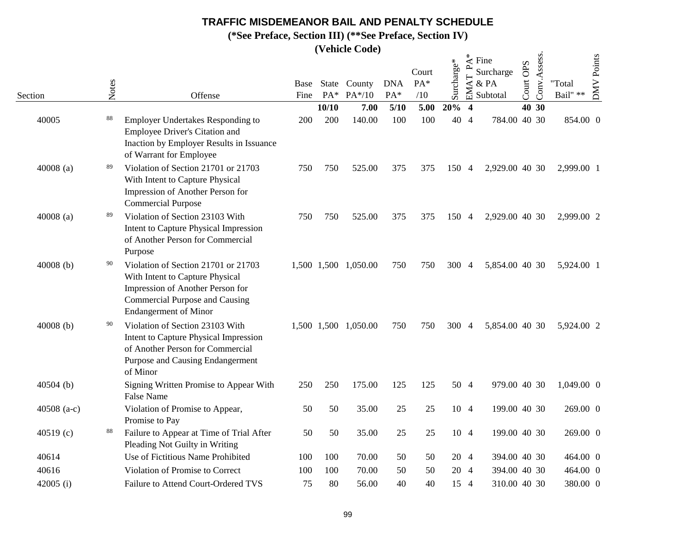**(\*See Preface, Section III) (\*\*See Preface, Section IV)**

|               |       |                                                                                                                                                                                     |              |       | $($ v chilic Couc)       |                   |                     |            |                                               |                                       |                     |              |                            |            |
|---------------|-------|-------------------------------------------------------------------------------------------------------------------------------------------------------------------------------------|--------------|-------|--------------------------|-------------------|---------------------|------------|-----------------------------------------------|---------------------------------------|---------------------|--------------|----------------------------|------------|
| Section       | Notes | Offense                                                                                                                                                                             | Base<br>Fine | $PA*$ | State County<br>$PA*/10$ | <b>DNA</b><br>PA* | Court<br>PA*<br>/10 | Surcharge* | $\stackrel{*}{\mathbf{\mathsf{A}}}$<br>EMAT P | Fine<br>Surcharge<br>& PA<br>Subtotal | <b>OPS</b><br>Court | Conv.Assess. | "Total<br>Bail" $\ast\ast$ | DMV Points |
|               |       |                                                                                                                                                                                     |              | 10/10 | 7.00                     | 5/10              | 5.00                | 20%        | $\overline{\mathbf{4}}$                       |                                       |                     | 40 30        |                            |            |
| 40005         | 88    | <b>Employer Undertakes Responding to</b><br>Employee Driver's Citation and<br>Inaction by Employer Results in Issuance<br>of Warrant for Employee                                   | 200          | 200   | 140.00                   | 100               | 100                 |            | 40 4                                          | 784.00 40 30                          |                     |              | 854.00 0                   |            |
| 40008 $(a)$   | 89    | Violation of Section 21701 or 21703<br>With Intent to Capture Physical<br>Impression of Another Person for<br><b>Commercial Purpose</b>                                             | 750          | 750   | 525.00                   | 375               | 375                 | 150 4      |                                               | 2,929.00 40 30                        |                     |              | 2,999.00 1                 |            |
| $40008$ (a)   | 89    | Violation of Section 23103 With<br>Intent to Capture Physical Impression<br>of Another Person for Commercial<br>Purpose                                                             | 750          | 750   | 525.00                   | 375               | 375                 | 150 4      |                                               | 2,929.00 40 30                        |                     |              | 2,999.00 2                 |            |
| 40008 $(b)$   | 90    | Violation of Section 21701 or 21703<br>With Intent to Capture Physical<br>Impression of Another Person for<br><b>Commercial Purpose and Causing</b><br><b>Endangerment</b> of Minor |              |       | 1,500 1,500 1,050.00     | 750               | 750                 | 300        | $\overline{4}$                                | 5,854.00 40 30                        |                     |              | 5,924.00 1                 |            |
| $40008$ (b)   | 90    | Violation of Section 23103 With<br>Intent to Capture Physical Impression<br>of Another Person for Commercial<br>Purpose and Causing Endangerment<br>of Minor                        |              |       | 1,500 1,500 1,050.00     | 750               | 750                 | 300 4      |                                               | 5,854.00 40 30                        |                     |              | 5,924.00 2                 |            |
| 40504 (b)     |       | Signing Written Promise to Appear With<br><b>False Name</b>                                                                                                                         | 250          | 250   | 175.00                   | 125               | 125                 |            | 50 4                                          | 979.00 40 30                          |                     |              | 1,049.00 0                 |            |
| 40508 $(a-c)$ |       | Violation of Promise to Appear,<br>Promise to Pay                                                                                                                                   | 50           | 50    | 35.00                    | 25                | 25                  |            | 10 4                                          | 199.00 40 30                          |                     |              | 269.00 0                   |            |
| 40519(c)      | 88    | Failure to Appear at Time of Trial After<br>Pleading Not Guilty in Writing                                                                                                          | 50           | 50    | 35.00                    | 25                | 25                  |            | 10 4                                          | 199.00 40 30                          |                     |              | 269.00 0                   |            |
| 40614         |       | Use of Fictitious Name Prohibited                                                                                                                                                   | 100          | 100   | 70.00                    | 50                | 50                  |            | 20 4                                          | 394.00 40 30                          |                     |              | 464.00 0                   |            |
| 40616         |       | Violation of Promise to Correct                                                                                                                                                     | 100          | 100   | 70.00                    | 50                | 50                  |            | 20 4                                          | 394.00 40 30                          |                     |              | 464.00 0                   |            |
| 42005 $(i)$   |       | Failure to Attend Court-Ordered TVS                                                                                                                                                 | 75           | 80    | 56.00                    | 40                | 40                  |            | 15 4                                          | 310.00 40 30                          |                     |              | 380.00 0                   |            |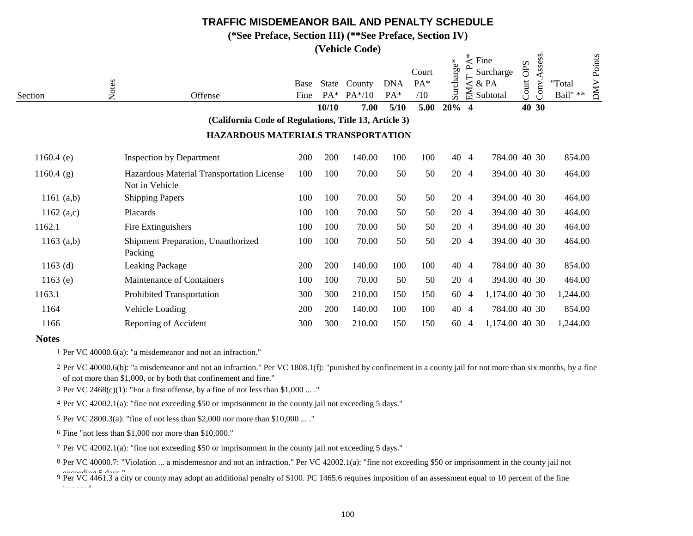**(\*See Preface, Section III) (\*\*See Preface, Section IV)**

**(Vehicle Code)**

|              |       |                                                             |              |                       | <i>(Vernere Cone)</i> |                   |            |            |                |                                      |            |         |                    |  |
|--------------|-------|-------------------------------------------------------------|--------------|-----------------------|-----------------------|-------------------|------------|------------|----------------|--------------------------------------|------------|---------|--------------------|--|
|              |       |                                                             |              |                       |                       |                   | Court      | Surcharge* | ∗<br>ല         | $\mathbf{\hat{z}}$ Fine<br>Surcharge | <b>OPS</b> | Assess. | <b>DMV</b> Points  |  |
| Section      | Notes | Offense                                                     | Base<br>Fine | <b>State</b><br>$PA*$ | County<br>$PA*/10$    | <b>DNA</b><br>PA* | PA*<br>/10 |            | ⋖<br>동         | & PA<br>Subtotal                     | Court      | Conv    | "Total<br>Bail" ** |  |
|              |       |                                                             |              | 10/10                 | 7.00                  | 5/10              | 5.00       | $20%$ 4    |                |                                      |            | 40 30   |                    |  |
|              |       | (California Code of Regulations, Title 13, Article 3)       |              |                       |                       |                   |            |            |                |                                      |            |         |                    |  |
|              |       | HAZARDOUS MATERIALS TRANSPORTATION                          |              |                       |                       |                   |            |            |                |                                      |            |         |                    |  |
| 1160.4 $(e)$ |       | <b>Inspection by Department</b>                             | 200          | 200                   | 140.00                | 100               | 100        | 40 4       |                | 784.00 40 30                         |            |         | 854.00             |  |
| $1160.4$ (g) |       | Hazardous Material Transportation License<br>Not in Vehicle | 100          | 100                   | 70.00                 | 50                | 50         | 20 4       |                | 394.00 40 30                         |            |         | 464.00             |  |
| 1161 $(a,b)$ |       | <b>Shipping Papers</b>                                      | 100          | 100                   | 70.00                 | 50                | 50         | 20 4       |                | 394.00 40 30                         |            |         | 464.00             |  |
| 1162 $(a,c)$ |       | Placards                                                    | 100          | 100                   | 70.00                 | 50                | 50         | 20 4       |                | 394.00 40 30                         |            |         | 464.00             |  |
| 1162.1       |       | Fire Extinguishers                                          | 100          | 100                   | 70.00                 | 50                | 50         | 20 4       |                | 394.00 40 30                         |            |         | 464.00             |  |
| $1163$ (a,b) |       | Shipment Preparation, Unauthorized<br>Packing               | 100          | 100                   | 70.00                 | 50                | 50         | 20 4       |                | 394.00 40 30                         |            |         | 464.00             |  |
| $1163$ (d)   |       | <b>Leaking Package</b>                                      | 200          | 200                   | 140.00                | 100               | 100        | 40 4       |                | 784.00 40 30                         |            |         | 854.00             |  |
| $1163$ (e)   |       | Maintenance of Containers                                   | 100          | 100                   | 70.00                 | 50                | 50         | 20 4       |                | 394.00 40 30                         |            |         | 464.00             |  |
| 1163.1       |       | Prohibited Transportation                                   | 300          | 300                   | 210.00                | 150               | 150        | 60         | 4              | 1,174.00 40 30                       |            |         | 1,244.00           |  |
| 1164         |       | Vehicle Loading                                             | 200          | 200                   | 140.00                | 100               | 100        | 40         | 4              | 784.00 40 30                         |            |         | 854.00             |  |
| 1166         |       | Reporting of Accident                                       | 300          | 300                   | 210.00                | 150               | 150        | 60         | $\overline{4}$ | 1,174.00 40 30                       |            |         | 1,244.00           |  |
|              |       |                                                             |              |                       |                       |                   |            |            |                |                                      |            |         |                    |  |

#### **Notes**

1 Per VC 40000.6(a): "a misdemeanor and not an infraction."

2 Per VC 40000.6(b): "a misdemeanor and not an infraction." Per VC 1808.1(f): "punished by confinement in a county jail for not more than six months, by a fine of not more than \$1,000, or by both that confinement and fine."

<sup>3</sup> Per VC 2468(c)(1): "For a first offense, by a fine of not less than \$1,000 ... ."

4 Per VC 42002.1(a): "fine not exceeding \$50 or imprisonment in the county jail not exceeding 5 days."

5 Per VC 2800.3(a): "fine of not less than \$2,000 nor more than \$10,000 ... ."

6 Fine "not less than \$1,000 nor more than \$10,000."

imposed.

7 Per VC 42002.1(a): "fine not exceeding \$50 or imprisonment in the county jail not exceeding 5 days."

8 Per VC 40000.7: "Violation ... a misdemeanor and not an infraction." Per VC 42002.1(a): "fine not exceeding \$50 or imprisonment in the county jail not

9 Per VC 4461.3 a city or county may adopt an additional penalty of \$100. PC 1465.6 requires imposition of an assessment equal to 10 percent of the fine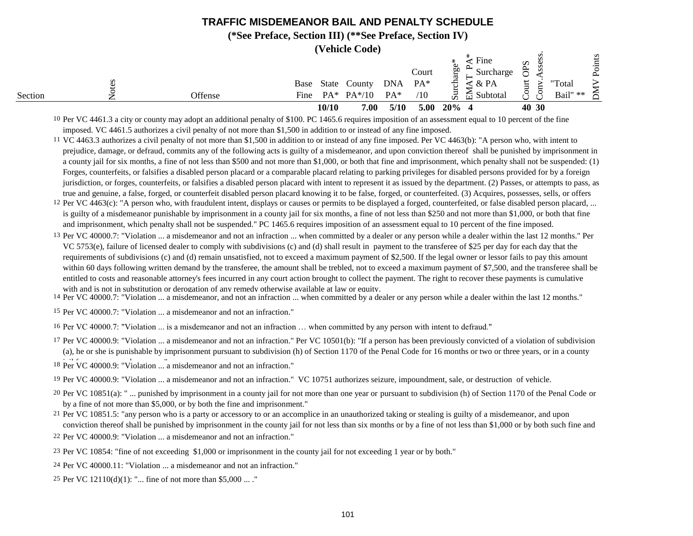**(\*See Preface, Section III) (\*\*See Preface, Section IV)**

**(Vehicle Code)**

|         |                         |       |                                  |              | Court         | $\star$<br>Ф<br>60<br>ਰਿੰ | Fine<br>Surcharge                    | $\boldsymbol{\Omega}$<br>$\approx$<br>t |       |                    | s<br>Point |
|---------|-------------------------|-------|----------------------------------|--------------|---------------|---------------------------|--------------------------------------|-----------------------------------------|-------|--------------------|------------|
| Section | Base<br>Offense<br>Fine |       | State County<br>$PA^*$ $PA^*/10$ | DNA<br>$PA*$ | $PA^*$<br>/10 | සි<br>$\sin$              | $4 \& PA$<br>$\frac{1}{11}$ Subtotal | $\cup$                                  |       | "Total<br>Bail" ** | ≲          |
|         |                         | 10/10 | 7.00                             | 5/10         | 5.00          | $20\%$ 4                  |                                      |                                         | 40 30 |                    |            |

<sup>10</sup> Per VC 4461.3 a city or county may adopt an additional penalty of \$100. PC 1465.6 requires imposition of an assessment equal to 10 percent of the fine imposed. VC 4461.5 authorizes a civil penalty of not more than \$1,500 in addition to or instead of any fine imposed.

11 VC 4463.3 authorizes a civil penalty of not more than \$1,500 in addition to or instead of any fine imposed. Per VC 4463(b): "A person who, with intent to prejudice, damage, or defraud, commits any of the following acts is guilty of a misdemeanor, and upon conviction thereof shall be punished by imprisonment in a county jail for six months, a fine of not less than \$500 and not more than \$1,000, or both that fine and imprisonment, which penalty shall not be suspended: (1) Forges, counterfeits, or falsifies a disabled person placard or a comparable placard relating to parking privileges for disabled persons provided for by a foreign jurisdiction, or forges, counterfeits, or falsifies a disabled person placard with intent to represent it as issued by the department. (2) Passes, or attempts to pass, as true and genuine, a false, forged, or counterfeit disabled person placard knowing it to be false, forged, or counterfeited. (3) Acquires, possesses, sells, or offers

12 Per VC 4463(c): "A person who, with fraudulent intent, displays or causes or permits to be displayed a forged, counterfeited, or false disabled person placard, ... is guilty of a misdemeanor punishable by imprisonment in a county jail for six months, a fine of not less than \$250 and not more than \$1,000, or both that fine and imprisonment, which penalty shall not be suspended." PC 1465.6 requires imposition of an assessment equal to 10 percent of the fine imposed.

<sup>13</sup> Per VC 40000.7: "Violation ... a misdemeanor and not an infraction ... when committed by a dealer or any person while a dealer within the last 12 months." Per VC 5753(e), failure of licensed dealer to comply with subdivisions (c) and (d) shall result in payment to the transferee of \$25 per day for each day that the requirements of subdivisions (c) and (d) remain unsatisfied, not to exceed a maximum payment of \$2,500. If the legal owner or lessor fails to pay this amount within 60 days following written demand by the transferee, the amount shall be trebled, not to exceed a maximum payment of \$7,500, and the transferee shall be entitled to costs and reasonable attorney's fees incurred in any court action brought to collect the payment. The right to recover these payments is cumulative with and is not in substitution or derogation of any remedy otherwise available at law or equity.

<sup>14</sup> Per VC 40000.7: "Violation ... a misdemeanor, and not an infraction ... when committed by a dealer or any person while a dealer within the last 12 months."

15 Per VC 40000.7: "Violation ... a misdemeanor and not an infraction."

16 Per VC 40000.7: "Violation ... is a misdemeanor and not an infraction … when committed by any person with intent to defraud."

<sup>17</sup> Per VC 40000.9: "Violation ... a misdemeanor and not an infraction." Per VC 10501(b): "If a person has been previously convicted of a violation of subdivision (a), he or she is punishable by imprisonment pursuant to subdivision (h) of Section 1170 of the Penal Code for 16 months or two or three years, or in a county

18 Per VC 40000.9: "Violation ... a misdemeanor and not an infraction."

- 19 Per VC 40000.9: "Violation ... a misdemeanor and not an infraction." VC 10751 authorizes seizure, impoundment, sale, or destruction of vehicle.
- <sup>20</sup> Per VC 10851(a): "... punished by imprisonment in a county jail for not more than one year or pursuant to subdivision (h) of Section 1170 of the Penal Code or by a fine of not more than \$5,000, or by both the fine and imprisonment."
- 21 Per VC 10851.5: "any person who is a party or accessory to or an accomplice in an unauthorized taking or stealing is guilty of a misdemeanor, and upon conviction thereof shall be punished by imprisonment in the county jail for not less than six months or by a fine of not less than \$1,000 or by both such fine and
- 22 Per VC 40000.9: "Violation ... a misdemeanor and not an infraction."
- 23 Per VC 10854: "fine of not exceeding \$1,000 or imprisonment in the county jail for not exceeding 1 year or by both."
- 24 Per VC 40000.11: "Violation ... a misdemeanor and not an infraction."
- 25 Per VC 12110(d)(1): "... fine of not more than \$5,000 ... ."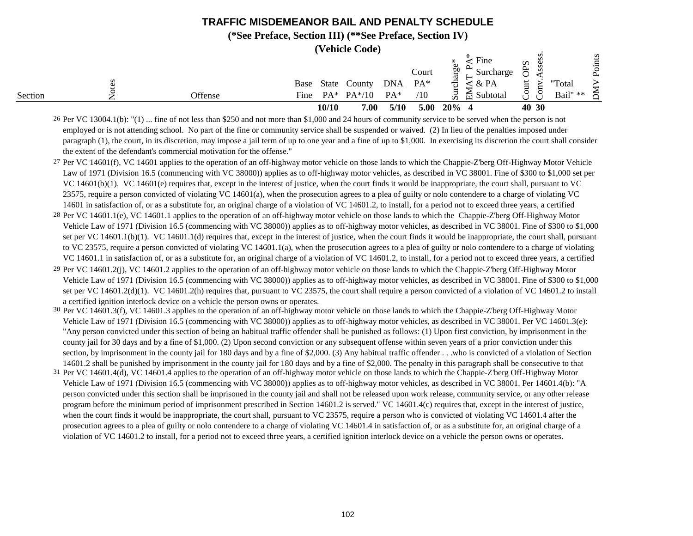**(\*See Preface, Section III) (\*\*See Preface, Section IV)**

**(Vehicle Code)**

|         |         |      |       | <i>v</i> chicic Couc |            |       | ∗               | Fine           | Ω         |              |          | Points |
|---------|---------|------|-------|----------------------|------------|-------|-----------------|----------------|-----------|--------------|----------|--------|
|         |         |      |       |                      |            | Court | æ               | Surcharge      | $\approx$ | s            |          |        |
|         |         | Base | State | County               | <b>DNA</b> | $PA*$ | char            | $\propto$ PA   | ↩         |              | "Total   |        |
| Section | Offense | Fine |       | $PA^*$ $PA^*/10$     | $PA*$      | /10   | S <sub>UT</sub> | Subtotal<br>ਜ਼ | Ļ,        | $\mathbf{r}$ | Bail" ** | ≂      |
|         |         |      | 10/10 | 7.00                 | 5/10       | 5.00  | 20%             |                |           | 40 30        |          |        |

<sup>26</sup> Per VC 13004.1(b): "(1) ... fine of not less than \$250 and not more than \$1,000 and 24 hours of community service to be served when the person is not employed or is not attending school. No part of the fine or community service shall be suspended or waived. (2) In lieu of the penalties imposed under paragraph (1), the court, in its discretion, may impose a jail term of up to one year and a fine of up to \$1,000. In exercising its discretion the court shall consider the extent of the defendant's commercial motivation for the offense."

27 Per VC 14601(f), VC 14601 applies to the operation of an off-highway motor vehicle on those lands to which the Chappie-Z'berg Off-Highway Motor Vehicle Law of 1971 (Division 16.5 (commencing with VC 38000)) applies as to off-highway motor vehicles, as described in VC 38001. Fine of \$300 to \$1,000 set per VC 14601(b)(1). VC 14601(e) requires that, except in the interest of justice, when the court finds it would be inappropriate, the court shall, pursuant to VC 23575, require a person convicted of violating VC 14601(a), when the prosecution agrees to a plea of guilty or nolo contendere to a charge of violating VC 14601 in satisfaction of, or as a substitute for, an original charge of a violation of VC 14601.2, to install, for a period not to exceed three years, a certified

<sup>28</sup> Per VC 14601.1(e), VC 14601.1 applies to the operation of an off-highway motor vehicle on those lands to which the Chappie-Z'berg Off-Highway Motor Vehicle Law of 1971 (Division 16.5 (commencing with VC 38000)) applies as to off-highway motor vehicles, as described in VC 38001. Fine of \$300 to \$1,000 set per VC 14601.1(b)(1). VC 14601.1(d) requires that, except in the interest of justice, when the court finds it would be inappropriate, the court shall, pursuant to VC 23575, require a person convicted of violating VC 14601.1(a), when the prosecution agrees to a plea of guilty or nolo contendere to a charge of violating VC 14601.1 in satisfaction of, or as a substitute for, an original charge of a violation of VC 14601.2, to install, for a period not to exceed three years, a certified

- <sup>29</sup> Per VC 14601.2(j), VC 14601.2 applies to the operation of an off-highway motor vehicle on those lands to which the Chappie-Z'berg Off-Highway Motor Vehicle Law of 1971 (Division 16.5 (commencing with VC 38000)) applies as to off-highway motor vehicles, as described in VC 38001. Fine of \$300 to \$1,000 set per VC 14601.2(d)(1). VC 14601.2(h) requires that, pursuant to VC 23575, the court shall require a person convicted of a violation of VC 14601.2 to install a certified ignition interlock device on a vehicle the person owns or operates.
- 30 Per VC 14601.3(f), VC 14601.3 applies to the operation of an off-highway motor vehicle on those lands to which the Chappie-Z'berg Off-Highway Motor Vehicle Law of 1971 (Division 16.5 (commencing with VC 38000)) applies as to off-highway motor vehicles, as described in VC 38001. Per VC 14601.3(e): "Any person convicted under this section of being an habitual traffic offender shall be punished as follows: (1) Upon first conviction, by imprisonment in the county jail for 30 days and by a fine of \$1,000. (2) Upon second conviction or any subsequent offense within seven years of a prior conviction under this section, by imprisonment in the county jail for 180 days and by a fine of \$2,000. (3) Any habitual traffic offender . . .who is convicted of a violation of Section 14601.2 shall be punished by imprisonment in the county jail for 180 days and by a fine of \$2,000. The penalty in this paragraph shall be consecutive to that
- <sup>31</sup> Per VC 14601.4(d), VC 14601.4 applies to the operation of an off-highway motor vehicle on those lands to which the Chappie-Z'berg Off-Highway Motor Vehicle Law of 1971 (Division 16.5 (commencing with VC 38000)) applies as to off-highway motor vehicles, as described in VC 38001. Per 14601.4(b): "A person convicted under this section shall be imprisoned in the county jail and shall not be released upon work release, community service, or any other release program before the minimum period of imprisonment prescribed in Section 14601.2 is served." VC 14601.4(c) requires that, except in the interest of justice, when the court finds it would be inappropriate, the court shall, pursuant to VC 23575, require a person who is convicted of violating VC 14601.4 after the prosecution agrees to a plea of guilty or nolo contendere to a charge of violating VC 14601.4 in satisfaction of, or as a substitute for, an original charge of a violation of VC 14601.2 to install, for a period not to exceed three years, a certified ignition interlock device on a vehicle the person owns or operates.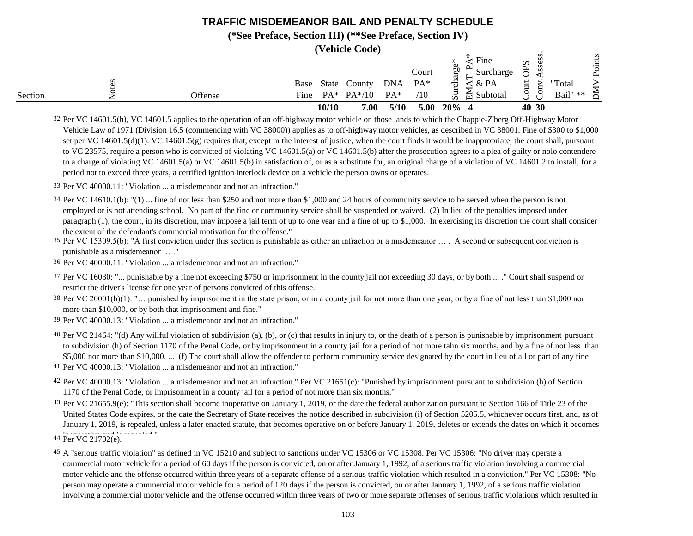#### **(\*See Preface, Section III) (\*\*See Preface, Section IV)**

**(Vehicle Code)**

|         |         |              |                 | $\mathbf v$ childe Couc) |                   |                       |                      |                                                             |                  |        |                    |                                    |
|---------|---------|--------------|-----------------|--------------------------|-------------------|-----------------------|----------------------|-------------------------------------------------------------|------------------|--------|--------------------|------------------------------------|
| Section | Offense | Base<br>Fine | State<br>$PA^*$ | County<br>$PA*/10$       | <b>DNA</b><br>PA* | Court<br>$PA*$<br>/10 | 60<br>char<br>E<br>Ď | Fine<br>Surcharge<br>& PA<br>$\overline{\boxplus}$ Subtotal | Ω<br>≍<br>←<br>پ | s<br>s | "Total<br>Bail" ** | S<br>$\overline{a}$<br>$\sim$<br>≍ |
|         |         |              | 10/10           | 7.00                     | 5/10              | 5.00                  | 20%                  |                                                             |                  | 40 30  |                    |                                    |

32 Per VC 14601.5(h), VC 14601.5 applies to the operation of an off-highway motor vehicle on those lands to which the Chappie-Z'berg Off-Highway Motor Vehicle Law of 1971 (Division 16.5 (commencing with VC 38000)) applies as to off-highway motor vehicles, as described in VC 38001. Fine of \$300 to \$1,000 set per VC 14601.5(d)(1). VC 14601.5(g) requires that, except in the interest of justice, when the court finds it would be inappropriate, the court shall, pursuant to VC 23575, require a person who is convicted of violating VC 14601.5(a) or VC 14601.5(b) after the prosecution agrees to a plea of guilty or nolo contendere to a charge of violating VC 14601.5(a) or VC 14601.5(b) in satisfaction of, or as a substitute for, an original charge of a violation of VC 14601.2 to install, for a period not to exceed three years, a certified ignition interlock device on a vehicle the person owns or operates.

33 Per VC 40000.11: "Violation ... a misdemeanor and not an infraction."

34 Per VC 14610.1(b): "(1) ... fine of not less than \$250 and not more than \$1,000 and 24 hours of community service to be served when the person is not employed or is not attending school. No part of the fine or community service shall be suspended or waived. (2) In lieu of the penalties imposed under paragraph (1), the court, in its discretion, may impose a jail term of up to one year and a fine of up to \$1,000. In exercising its discretion the court shall consider the extent of the defendant's commercial motivation for the offense."

35 Per VC 15309.5(b): "A first conviction under this section is punishable as either an infraction or a misdemeanor … . A second or subsequent conviction is punishable as a misdemeanor … ."

36 Per VC 40000.11: "Violation ... a misdemeanor and not an infraction."

37 Per VC 16030: "... punishable by a fine not exceeding \$750 or imprisonment in the county jail not exceeding 30 days, or by both ... ." Court shall suspend or restrict the driver's license for one year of persons convicted of this offense.

38 Per VC 20001(b)(1): "… punished by imprisonment in the state prison, or in a county jail for not more than one year, or by a fine of not less than \$1,000 nor more than \$10,000, or by both that imprisonment and fine."

39 Per VC 40000.13: "Violation ... a misdemeanor and not an infraction."

40 Per VC 21464: "(d) Any willful violation of subdivision (a), (b), or (c) that results in injury to, or the death of a person is punishable by imprisonment pursuant to subdivision (h) of Section 1170 of the Penal Code, or by imprisonment in a county jail for a period of not more tahn six months, and by a fine of not less than \$5,000 nor more than \$10,000. ... (f) The court shall allow the offender to perform community service designated by the court in lieu of all or part of any fine

41 Per VC 40000.13: "Violation ... a misdemeanor and not an infraction."

- 42 Per VC 40000.13: "Violation ... a misdemeanor and not an infraction." Per VC 21651(c): "Punished by imprisonment pursuant to subdivision (h) of Section 1170 of the Penal Code, or imprisonment in a county jail for a period of not more than six months."
- 43 Per VC 21655.9(e): "This section shall become inoperative on January 1, 2019, or the date the federal authorization pursuant to Section 166 of Title 23 of the 44 Per VC 21702(e). United States Code expires, or the date the Secretary of State receives the notice described in subdivision (i) of Section 5205.5, whichever occurs first, and, as of January 1, 2019, is repealed, unless a later enacted statute, that becomes operative on or before January 1, 2019, deletes or extends the dates on which it becomes

<sup>45</sup> A "serious traffic violation" as defined in VC 15210 and subject to sanctions under VC 15306 or VC 15308. Per VC 15306: "No driver may operate a commercial motor vehicle for a period of 60 days if the person is convicted, on or after January 1, 1992, of a serious traffic violation involving a commercial motor vehicle and the offense occurred within three years of a separate offense of a serious traffic violation which resulted in a conviction." Per VC 15308: "No person may operate a commercial motor vehicle for a period of 120 days if the person is convicted, on or after January 1, 1992, of a serious traffic violation involving a commercial motor vehicle and the offense occurred within three years of two or more separate offenses of serious traffic violations which resulted in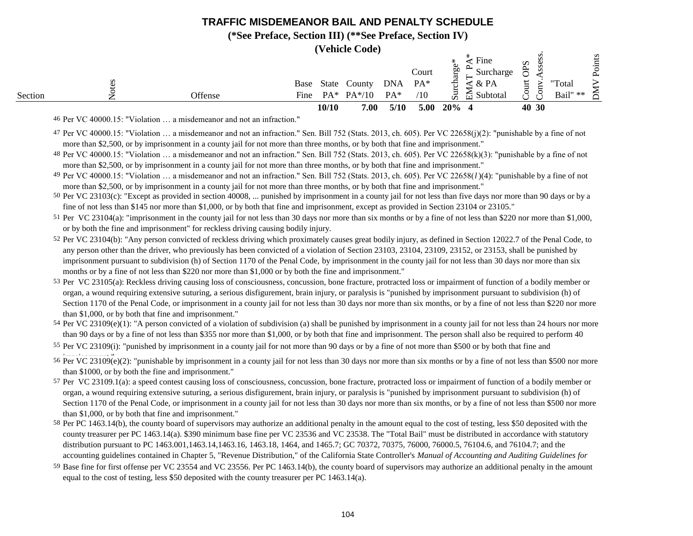#### **(\*See Preface, Section III) (\*\*See Preface, Section IV)**

**(Vehicle Code)**

|         |         |              | 10/10  | 7.00                     | 5/10                 | 5.00                  | $20\%$ 4                |                                                     | 40 30                        |                    |                 |
|---------|---------|--------------|--------|--------------------------|----------------------|-----------------------|-------------------------|-----------------------------------------------------|------------------------------|--------------------|-----------------|
| Section | Offense | Base<br>Fine | $PA^*$ | State County<br>$PA*/10$ | <b>DNA</b><br>$PA^*$ | Court<br>$PA*$<br>/10 | Ō0<br>≒<br>සි<br>$\sin$ | Surcharge<br>$\leq$ & PA<br>$\frac{1}{11}$ Subtotal | Ω<br>SS<br>₩<br>ٮ<br>$\circ$ | "Total<br>Bail" ** | oints<br>≏<br>≍ |
|         |         |              |        |                          |                      |                       |                         | Fine                                                |                              |                    | s               |

46 Per VC 40000.15: "Violation … a misdemeanor and not an infraction."

- 47 Per VC 40000.15: "Violation … a misdemeanor and not an infraction." Sen. Bill 752 (Stats. 2013, ch. 605). Per VC 22658(j)(2): "punishable by a fine of not more than \$2,500, or by imprisonment in a county jail for not more than three months, or by both that fine and imprisonment."
- 48 Per VC 40000.15: "Violation … a misdemeanor and not an infraction." Sen. Bill 752 (Stats. 2013, ch. 605). Per VC 22658(k)(3): "punishable by a fine of not more than \$2,500, or by imprisonment in a county jail for not more than three months, or by both that fine and imprisonment."

49 Per VC 40000.15: "Violation … a misdemeanor and not an infraction." Sen. Bill 752 (Stats. 2013, ch. 605). Per VC 22658(*l* )(4): "punishable by a fine of not more than \$2,500, or by imprisonment in a county jail for not more than three months, or by both that fine and imprisonment."

50 Per VC 23103(c): "Except as provided in section 40008, ... punished by imprisonment in a county jail for not less than five days nor more than 90 days or by a fine of not less than \$145 nor more than \$1,000, or by both that fine and imprisonment, except as provided in Section 23104 or 23105."

51 Per VC 23104(a): "imprisonment in the county jail for not less than 30 days nor more than six months or by a fine of not less than \$220 nor more than \$1,000, or by both the fine and imprisonment" for reckless driving causing bodily injury.

- 52 Per VC 23104(b): "Any person convicted of reckless driving which proximately causes great bodily injury, as defined in Section 12022.7 of the Penal Code, to any person other than the driver, who previously has been convicted of a violation of Section 23103, 23104, 23109, 23152, or 23153, shall be punished by imprisonment pursuant to subdivision (h) of Section 1170 of the Penal Code, by imprisonment in the county jail for not less than 30 days nor more than six months or by a fine of not less than \$220 nor more than \$1,000 or by both the fine and imprisonment."
- 53 Per VC 23105(a): Reckless driving causing loss of consciousness, concussion, bone fracture, protracted loss or impairment of function of a bodily member or organ, a wound requiring extensive suturing, a serious disfigurement, brain injury, or paralysis is "punished by imprisonment pursuant to subdivision (h) of Section 1170 of the Penal Code, or imprisonment in a county jail for not less than 30 days nor more than six months, or by a fine of not less than \$220 nor more than \$1,000, or by both that fine and imprisonment."
- 54 Per VC 23109(e)(1): "A person convicted of a violation of subdivision (a) shall be punished by imprisonment in a county jail for not less than 24 hours nor more than 90 days or by a fine of not less than \$355 nor more than \$1,000, or by both that fine and imprisonment. The person shall also be required to perform 40
- 55 Per VC 23109(i): "punished by imprisonment in a county jail for not more than 90 days or by a fine of not more than \$500 or by both that fine and
- <sup>1</sup>/<sub>56</sub> Per VC 23109(e)(2): "punishable by imprisonment in a county jail for not less than 30 days nor more than six months or by a fine of not less than \$500 nor more than \$1000, or by both the fine and imprisonment."
- 57 Per VC 23109.1(a): a speed contest causing loss of consciousness, concussion, bone fracture, protracted loss or impairment of function of a bodily member or organ, a wound requiring extensive suturing, a serious disfigurement, brain injury, or paralysis is "punished by imprisonment pursuant to subdivision (h) of Section 1170 of the Penal Code, or imprisonment in a county jail for not less than 30 days nor more than six months, or by a fine of not less than \$500 nor more than \$1,000, or by both that fine and imprisonment."
- <sup>58</sup> Per PC 1463.14(b), the county board of supervisors may authorize an additional penalty in the amount equal to the cost of testing, less \$50 deposited with the county treasurer per PC 1463.14(a). \$390 minimum base fine per VC 23536 and VC 23538. The "Total Bail" must be distributed in accordance with statutory distribution pursuant to PC 1463.001,1463.14,1463.16, 1463.18, 1464, and 1465.7; GC 70372, 70375, 76000, 76000.5, 76104.6, and 76104.7; and the accounting guidelines contained in Chapter 5, "Revenue Distribution," of the California State Controller's *Manual of Accounting and Auditing Guidelines for*
- 59 *Trial Courts.* Base fine for first offense per VC 23554 and VC 23556. Per PC 1463.14(b), the county board of supervisors may authorize an additional penalty in the amount equal to the cost of testing, less \$50 deposited with the county treasurer per PC 1463.14(a).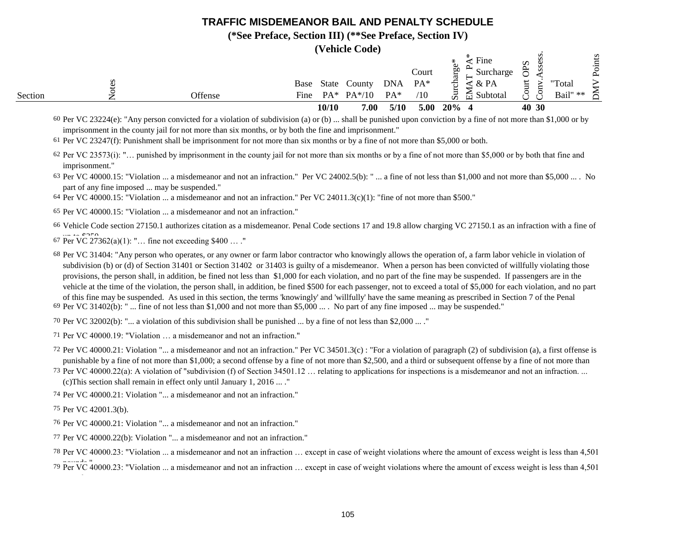#### **(\*See Preface, Section III) (\*\*See Preface, Section IV)**

**(Vehicle Code)**

|         |                                                                                                                                                                   |         | Base |        | State County | <b>DNA</b> | Court<br>$PA*$ | ЬΩ<br>ਚੌ | Fine<br>Surcharge<br>$\leq$ & PA |                             | "Total   | S |
|---------|-------------------------------------------------------------------------------------------------------------------------------------------------------------------|---------|------|--------|--------------|------------|----------------|----------|----------------------------------|-----------------------------|----------|---|
| Section |                                                                                                                                                                   | Offense | Fine | $PA^*$ | $PA*/10$     | $PA*$      | /10            | JЩ       | $\approx$ Subtotal               | $\mathcal{C}_{\mathcal{A}}$ | Bail" ** | ⋲ |
|         |                                                                                                                                                                   |         |      | 10/10  | 7.00         | 5/10       | 5.00           | $20\%$ 4 |                                  | 40 30                       |          |   |
|         | $60$ Per VC 23224(e): "Any person convicted for a violation of subdivision (a) or (b)  shall be punished upon conviction by a fine of not more than \$1,000 or by |         |      |        |              |            |                |          |                                  |                             |          |   |

imprisonment in the county jail for not more than six months, or by both the fine and imprisonment."

61 Per VC 23247(f): Punishment shall be imprisonment for not more than six months or by a fine of not more than \$5,000 or both.

62 Per VC 23573(i): "… punished by imprisonment in the county jail for not more than six months or by a fine of not more than \$5,000 or by both that fine and imprisonment."

 $63$  Per VC 40000.15: "Violation ... a misdemeanor and not an infraction." Per VC 24002.5(b): " ... a fine of not less than \$1,000 and not more than \$5,000 ... . No part of any fine imposed ... may be suspended."

64 Per VC 40000.15: "Violation ... a misdemeanor and not an infraction." Per VC 24011.3(c)(1): "fine of not more than \$500."

65 Per VC 40000.15: "Violation ... a misdemeanor and not an infraction."

66 Vehicle Code section 27150.1 authorizes citation as a misdemeanor. Penal Code sections 17 and 19.8 allow charging VC 27150.1 as an infraction with a fine of

 $67 \text{ Per } VC 27362(a)(1)$ : "... fine not exceeding \$400 ... ."

68 Per VC 31404: "Any person who operates, or any owner or farm labor contractor who knowingly allows the operation of, a farm labor vehicle in violation of 69 Per VC 31402(b): " ... fine of not less than \$1,000 and not more than \$5,000 ... . No part of any fine imposed ... may be suspended." subdivision (b) or (d) of Section 31401 or Section 31402 or 31403 is guilty of a misdemeanor. When a person has been convicted of willfully violating those provisions, the person shall, in addition, be fined not less than \$1,000 for each violation, and no part of the fine may be suspended. If passengers are in the vehicle at the time of the violation, the person shall, in addition, be fined \$500 for each passenger, not to exceed a total of \$5,000 for each violation, and no part of this fine may be suspended. As used in this section, the terms 'knowingly' and 'willfully' have the same meaning as prescribed in Section 7 of the Penal

70 Per VC 32002(b): "... a violation of this subdivision shall be punished ... by a fine of not less than \$2,000 ... ."

71 Per VC 40000.19: "Violation … a misdemeanor and not an infraction."

- 72 Per VC 40000.21: Violation "... a misdemeanor and not an infraction." Per VC 34501.3(c) : "For a violation of paragraph (2) of subdivision (a), a first offense is punishable by a fine of not more than \$1,000; a second offense by a fine of not more than \$2,500, and a third or subsequent offense by a fine of not more than
- 73 Per VC 40000.22(a): A violation of "subdivision (f) of Section 34501.12 … relating to applications for inspections is a misdemeanor and not an infraction. ... (c)This section shall remain in effect only until January 1, 2016 ... ."

74 Per VC 40000.21: Violation "... a misdemeanor and not an infraction."

75 Per VC 42001.3(b).

- 76 Per VC 40000.21: Violation "... a misdemeanor and not an infraction."
- 77 Per VC 40000.22(b): Violation "... a misdemeanor and not an infraction."
- 78 Per VC 40000.23: "Violation ... a misdemeanor and not an infraction … except in case of weight violations where the amount of excess weight is less than 4,501

<sup>79</sup> Per VC 40000.23: "Violation ... a misdemeanor and not an infraction ... except in case of weight violations where the amount of excess weight is less than 4,501 pounds."